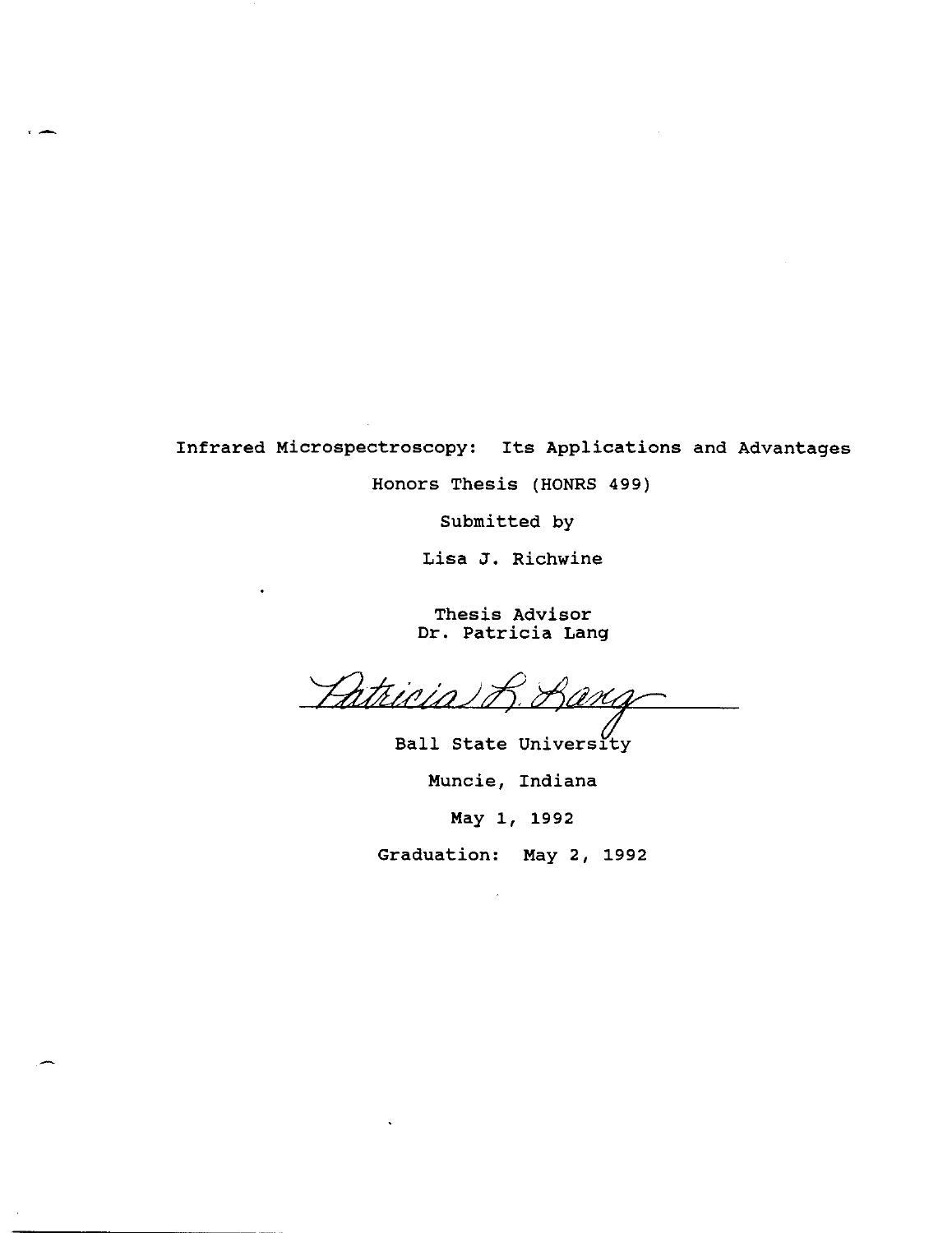Infrared Microspectroscopy: Its Applications and Advantages

Honors Thesis (HONRS 499)

Submitted by

Lisa J. Richwine

Thesis Advisor Dr. Patricia Lang

Patricia

Ball State University Muncie, Indiana

May 1, 1992

Graduation: May 2, 1992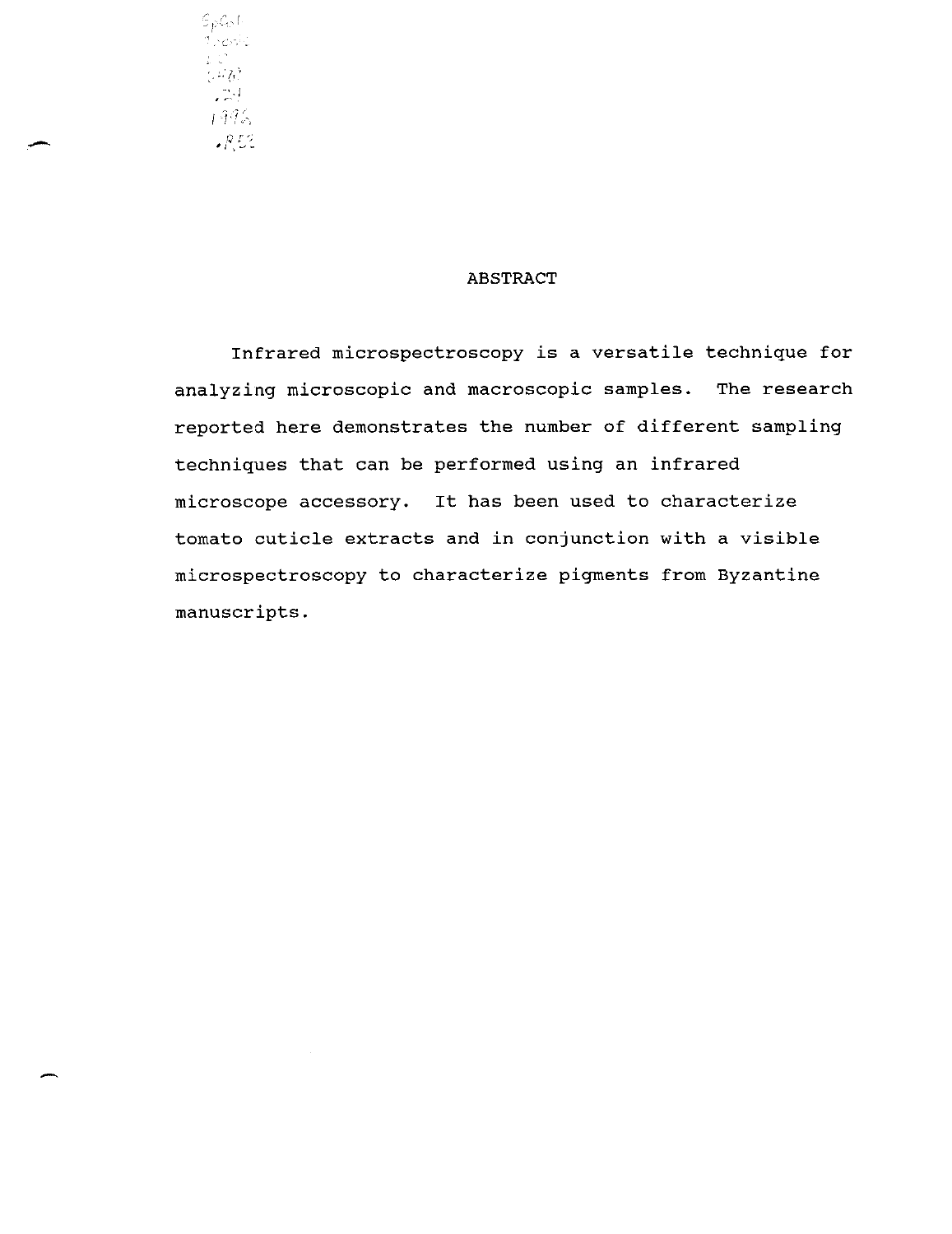

#### ABSTRACT

Infrared microspectroscopy is a versatile technique for analyzing microscopic and macroscopic samples. The research reported here demonstrates the number of different sampling techniques that can be performed using an infrared microscope accessory. It has been used to characterize tomato cuticle extracts and in conjunction with a visible microspectroscopy to characterize pigments from Byzantine manuscripts.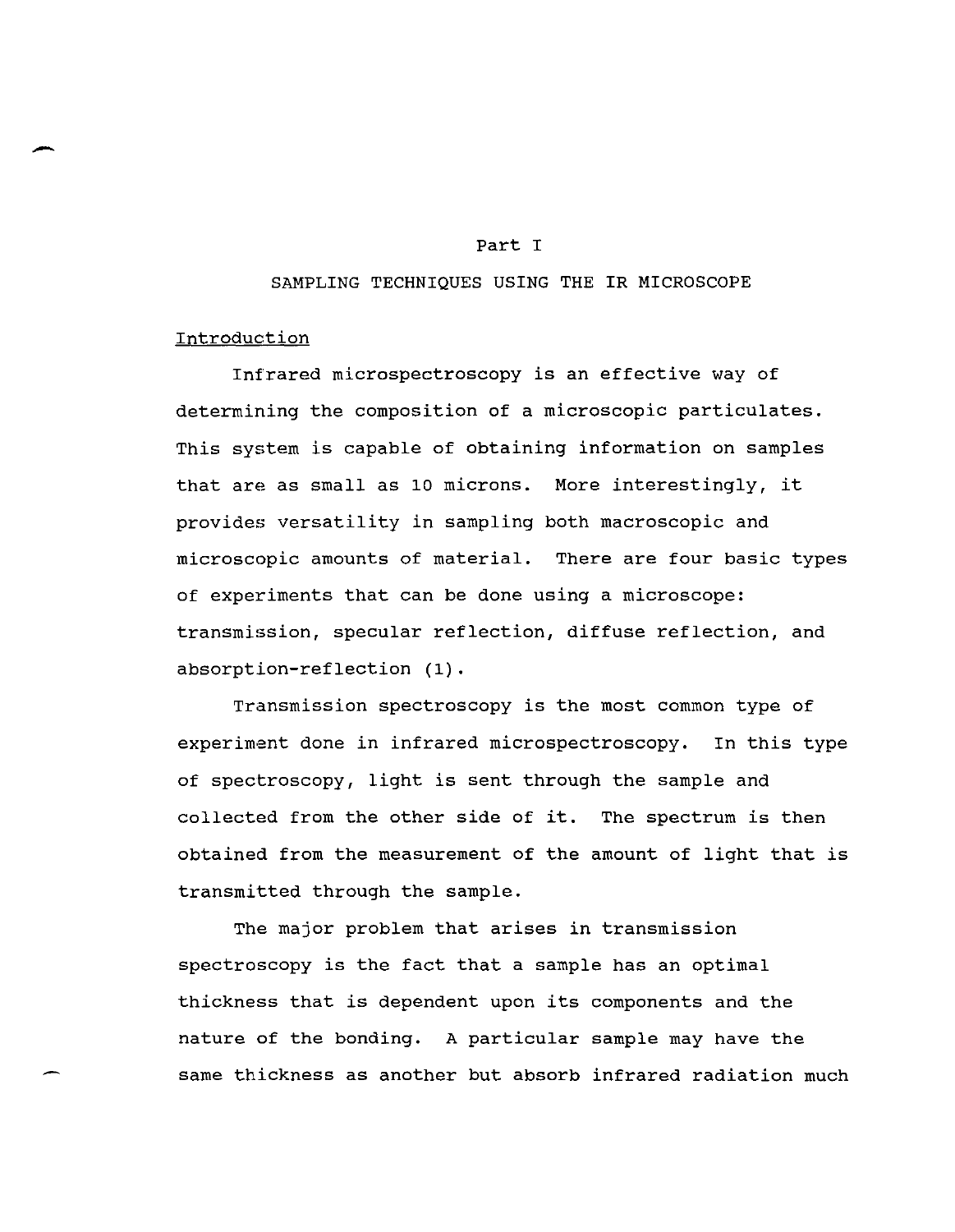#### Part I

#### SAMPLING TECHNIQUES USING THE IR MICROSCOPE

### Introduction

-

Infrared microspectroscopy is an effective way of determining the composition of a microscopic particulates. This system is capable of obtaining information on samples that are as small as 10 microns. More interestingly, it provides versatility in sampling both macroscopic and microscopic amounts of material. There are four basic types of experiments that can be done using a microscope: transmission, specular reflection, diffuse reflection, and absorption-reflection (1).

Transmission spectroscopy is the most common type of experiment done in infrared microspectroscopy. In this type of spectroscopy, light is sent through the sample and collected from the other side of it. The spectrum is then obtained from the measurement of the amount of light that is transmitted through the sample.

The major problem that arises in transmission spectroscopy is the fact that a sample has an optimal thickness that is dependent upon its components and the nature of the bonding. A particular sample may have the same thickness as another but absorb infrared radiation much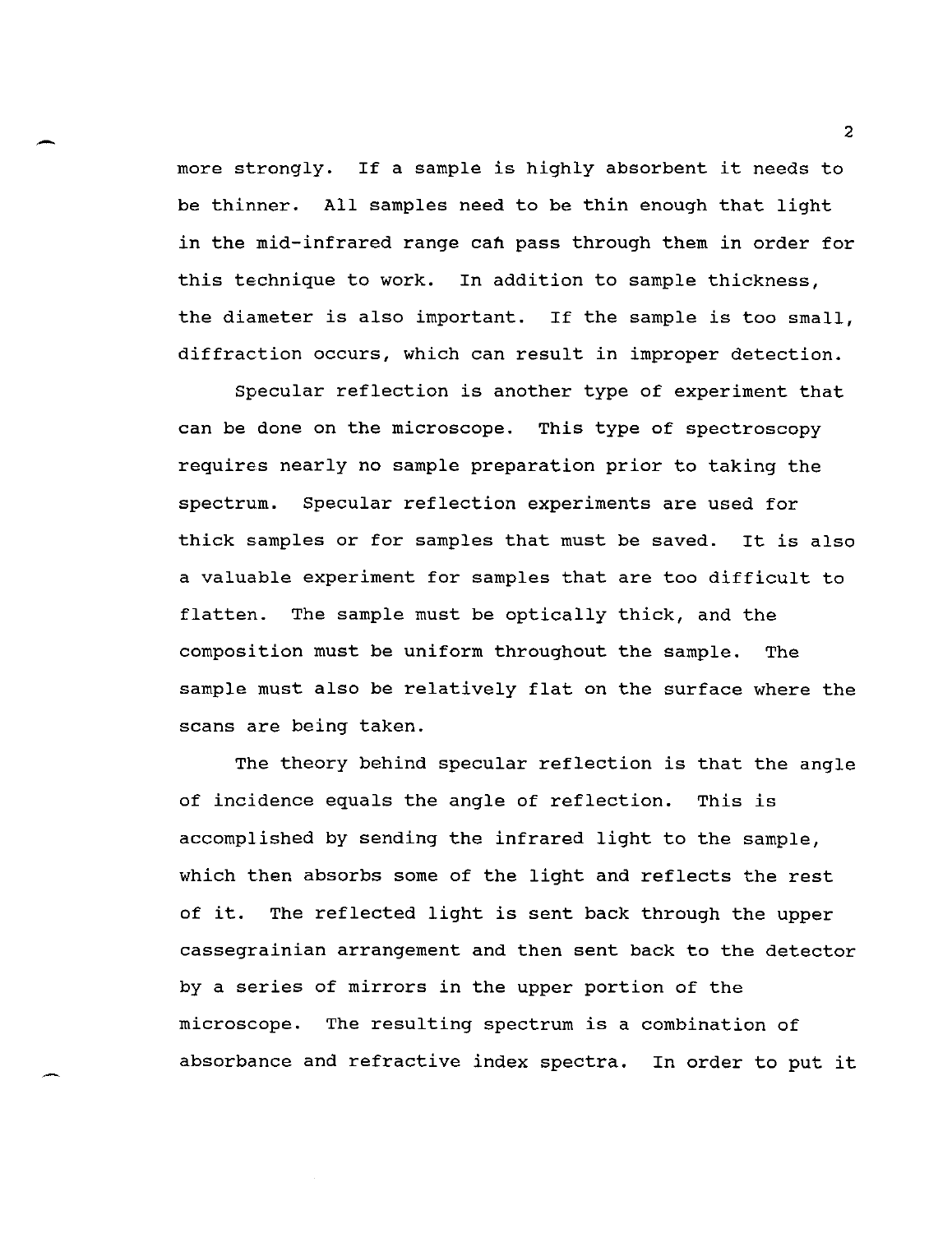more strongly. If a sample is highly absorbent it needs to be thinner. All samples need to be thin enough that light in the mid-infrared range can pass through them in order for this technique to work. In addition to sample thickness, the diameter is also important. If the sample is too small, diffraction occurs, which can result in improper detection.

Specular reflection is another type of experiment that can be done on the microscope. This type of spectroscopy requires nearly no sample preparation prior to taking the spectrum. Specular reflection experiments are used for thick samples or for samples that must be saved. It is also a valuable experiment for samples that are too difficult to flatten. The sample must be optically thick, and the composition must be uniform throughout the sample. The sample must also be relatively flat on the surface where the scans are being taken.

The theory behind specular reflection is that the angle of incidence equals the angle of reflection. This is accomplished by sending the infrared light to the sample, which then absorbs some of the light and reflects the rest of it. The reflected light is sent back through the upper cassegrainian arrangement and then sent back to the detector by a series of mirrors in the upper portion of the microscope. The resulting spectrum is a combination of absorbance and refractive index spectra. In order to put it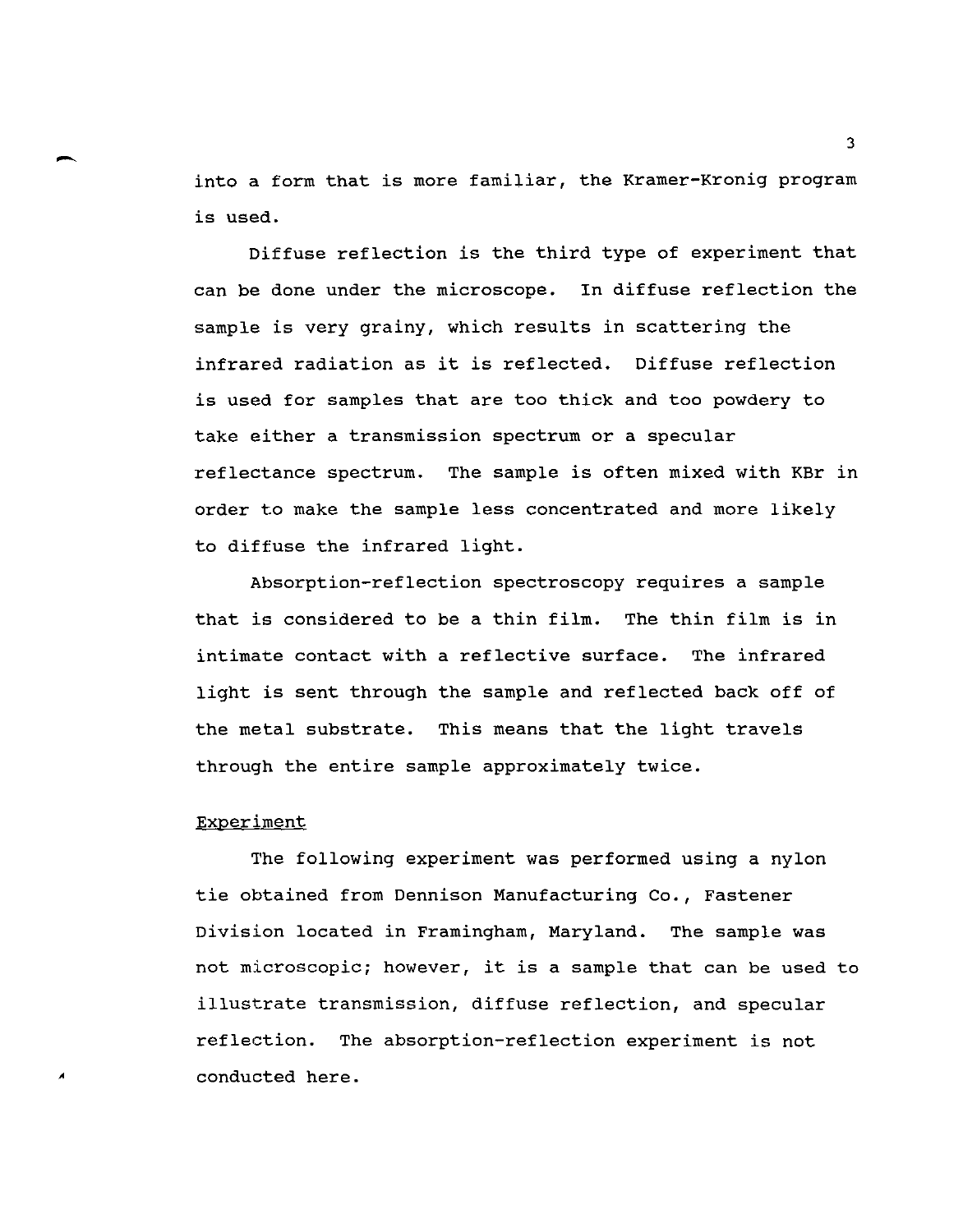into a form that is more familiar, the Kramer-Kronig program is used.

Diffuse reflection is the third type of experiment that can be done under the microscope. In diffuse reflection the sample is very grainy, which results in scattering the infrared radiation as it is reflected. Diffuse reflection is used for samples that are too thick and too powdery to take either a transmission spectrum or a specular reflectance spectrum. The sample is often mixed with KBr in order to make the sample less concentrated and more likely to diffuse the infrared light.

Absorption-reflection spectroscopy requires a sample that is considered to be a thin film. The thin film is in intimate contact with a reflective surface. The infrared light is sent through the sample and reflected back off of the metal substrate. This means that the light travels through the entire sample approximately twice.

#### Experiment

*A* 

The following experiment was performed using a nylon tie obtained from Dennison Manufacturing Co., Fastener Division located in Framingham, Maryland. The sample was not microscopic; however, it is a sample that can be used to illustrate transmission, diffuse reflection, and specular reflection. The absorption-reflection experiment is not conducted here.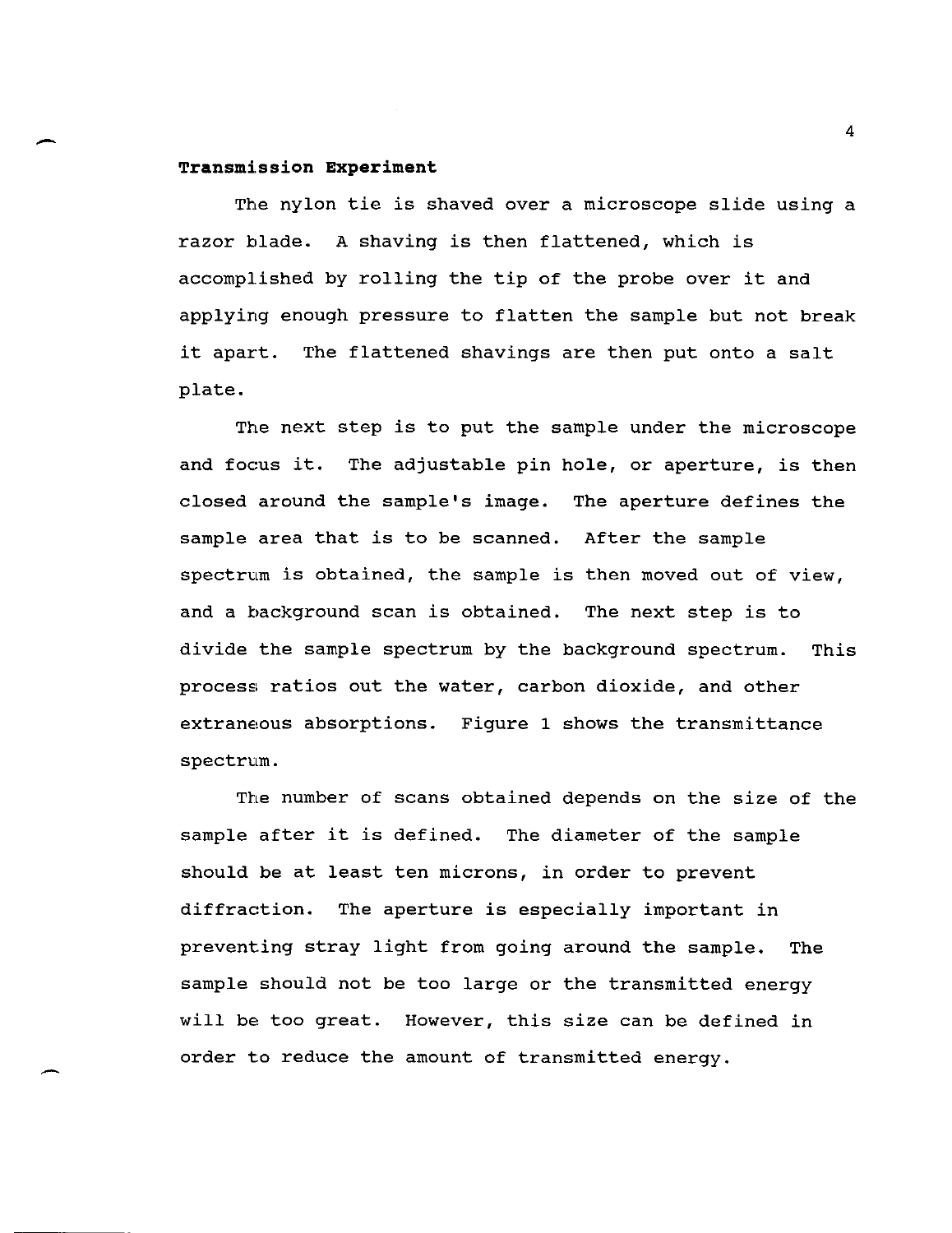#### **Transmi.ssion Experiment**

The nylon tie is shaved over a microscope slide using a razor blade. A shaving is then flattened, which is accomplished by rolling the tip of the probe over it and applying enough pressure to flatten the sample but not break it apart. The flattened shavings are then put onto a salt plate.

The next step is to put the sample under the microscope and focus it. The adjustable pin hole, or aperture, is then closed around the sample's image. The aperture defines the sample area that is to be scanned. After the sample spectrum is obtained, the sample is then moved out of view, and a background scan is obtained. The next step is to divide the sample spectrum by the background spectrum. This process ratios out the water, carbon dioxide, and other extraneous absorptions. Figure 1 shows the transmittance spectrum.

The number of scans obtained depends on the size of the sample after it is defined. The diameter of the sample should be at least ten microns, in order to prevent diffraction. The aperture is especially important in preventing stray light from going around the sample. The sample should not be too large or the transmitted energy will be too great. However, this size can be defined in order to reduce the amount of transmitted energy.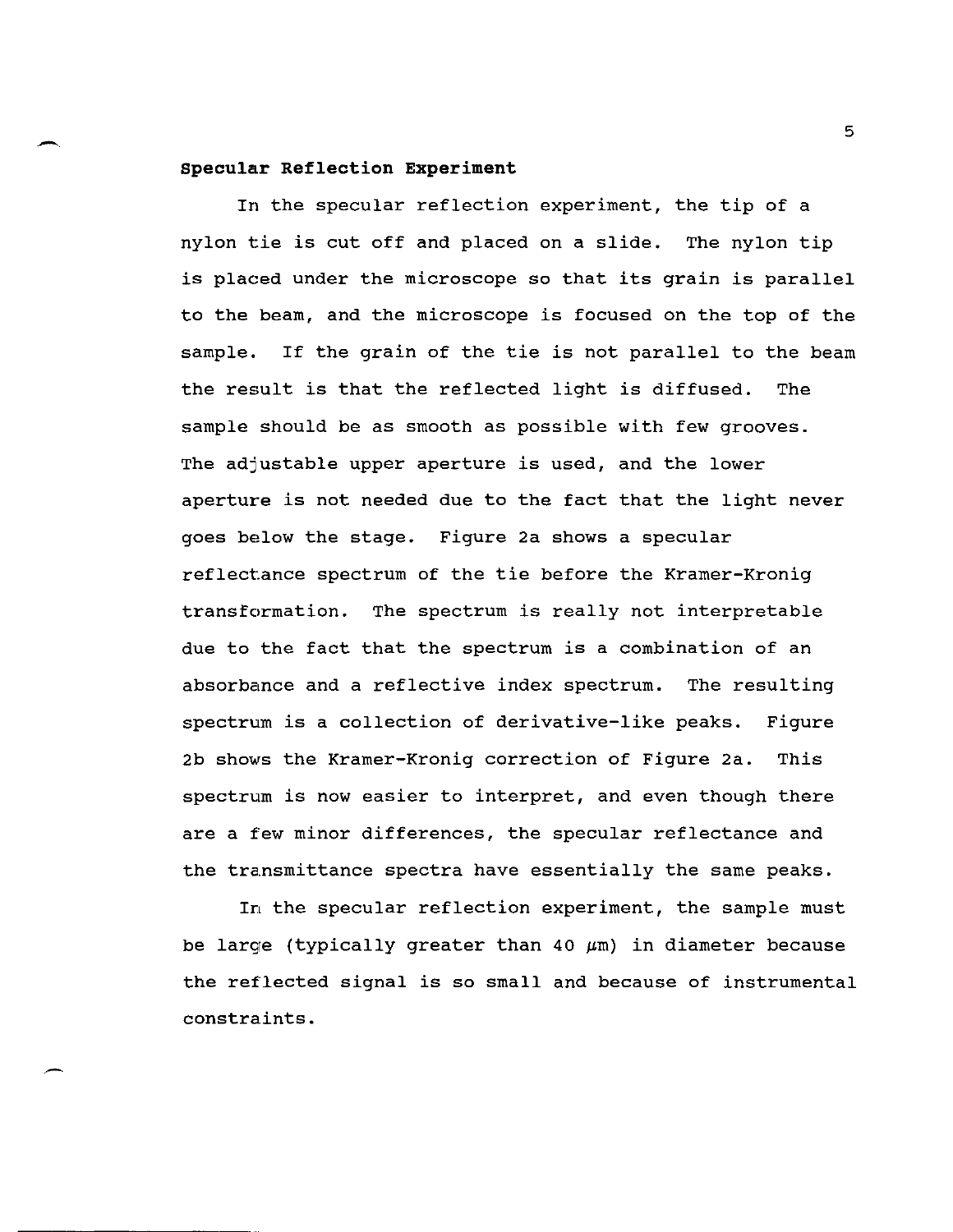#### **Specular Reflection Experiment**

In the specular reflection experiment, the tip of a nylon t:ie is cut off and placed on a slide. The nylon tip is placed under the microscope so that its grain is parallel to the beam, and the microscope is focused on the top of the sample. If the grain of the tie is not parallel to the beam the result is that the reflected light is diffused. The sample should be as smooth as possible with few grooves. The adjustable upper aperture is used, and the lower aperture is not needed due to the fact that the light never goes below the stage. Figure 2a shows a specular reflect:ance spectrum of the tie before the Kramer-Kronig transformation. The spectrum is really not interpretable due to the fact that the spectrum is a combination of an absorbance and a reflective index spectrum. The resulting spectrum is a collection of derivative-like peaks. Figure 2b shows the Kramer-Kronig correction of Figure 2a. This spectrum is now easier to interpret, and even though there are a few minor differences, the specular reflectance and the transmittance spectra have essentially the same peaks.

In the specular reflection experiment, the sample must be large (typically greater than 40  $\mu$ m) in diameter because the reflected signal is so small and because of instrumental constraints.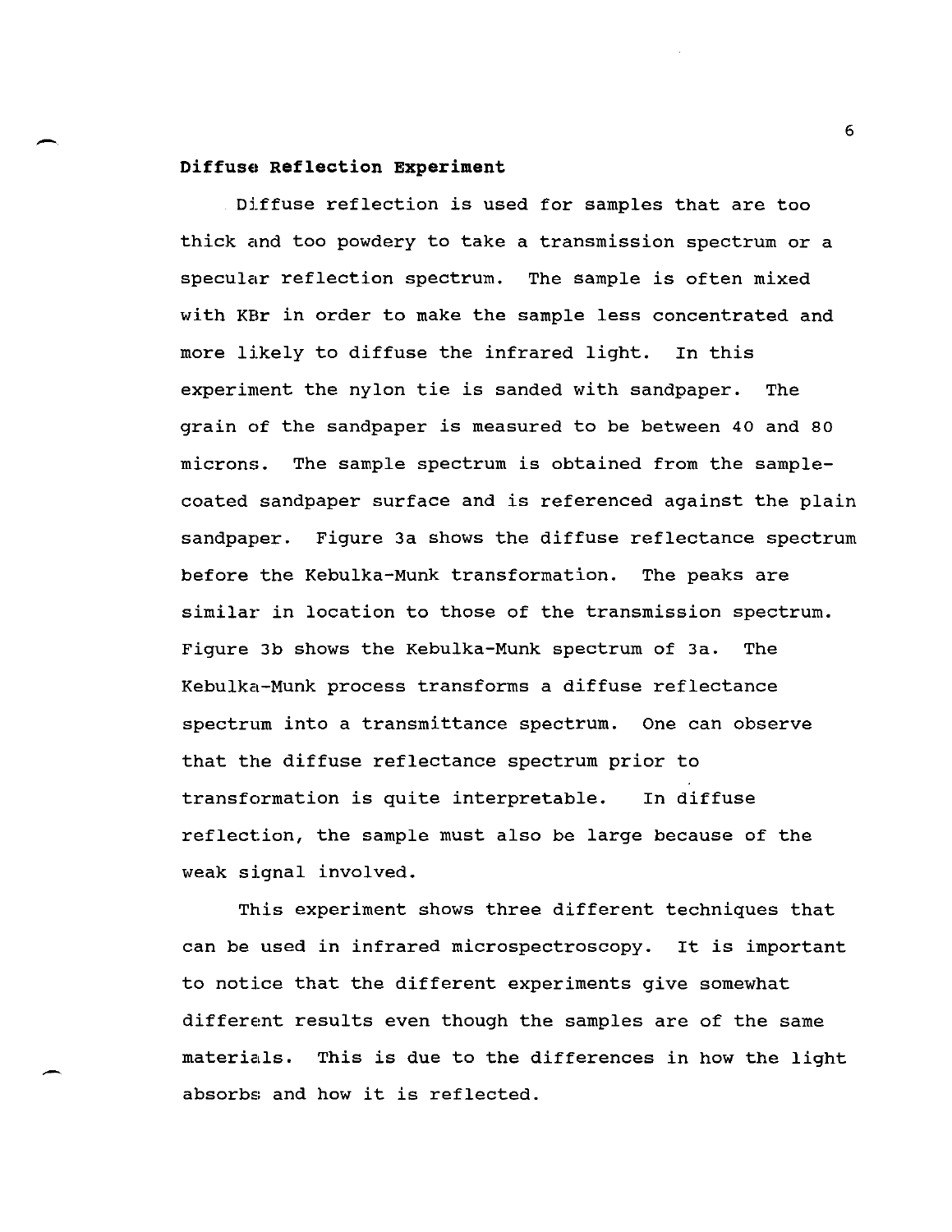# end of the contract of the contract of the contract of the contract of the contract of the contract of the contract of the contract of the contract of the contract of the contract of the contract of the contract of the con **Diffuse Reflection Experiment**

Diffuse reflection is used for samples that are too thick and too powdery to take a transmission spectrum or a specular reflection spectrum. The sample is often mixed with KBr in order to make the sample less concentrated and more likely to diffuse the infrared light. In this experiment the nylon tie is sanded with sandpaper. The grain of the sandpaper is measured to be between 40 and 80 microns. The sample spectrum is obtained from the samplecoated sandpaper surface and is referenced against the plain sandpaper. Figure 3a shows the diffuse reflectance spectrum before the Kebulka-Munk transformation. The peaks are similar in location to those of the transmission spectrum. Figure 3b shows the Kebulka-Munk spectrum of 3a. The Kebulka-Munk process transforms a diffuse reflectance spectrum into a transmittance spectrum. One can observe that the diffuse reflectance spectrum prior to transformation is quite interpretable. In diffuse reflection, the sample must also be large because of the weak signal involved.

This experiment shows three different techniques that can be used in infrared microspectroscopy. It is important to notice that the different experiments give somewhat differemt results even though the samples are of the same materials. This is due to the differences in how the light absorbs and how it is reflected.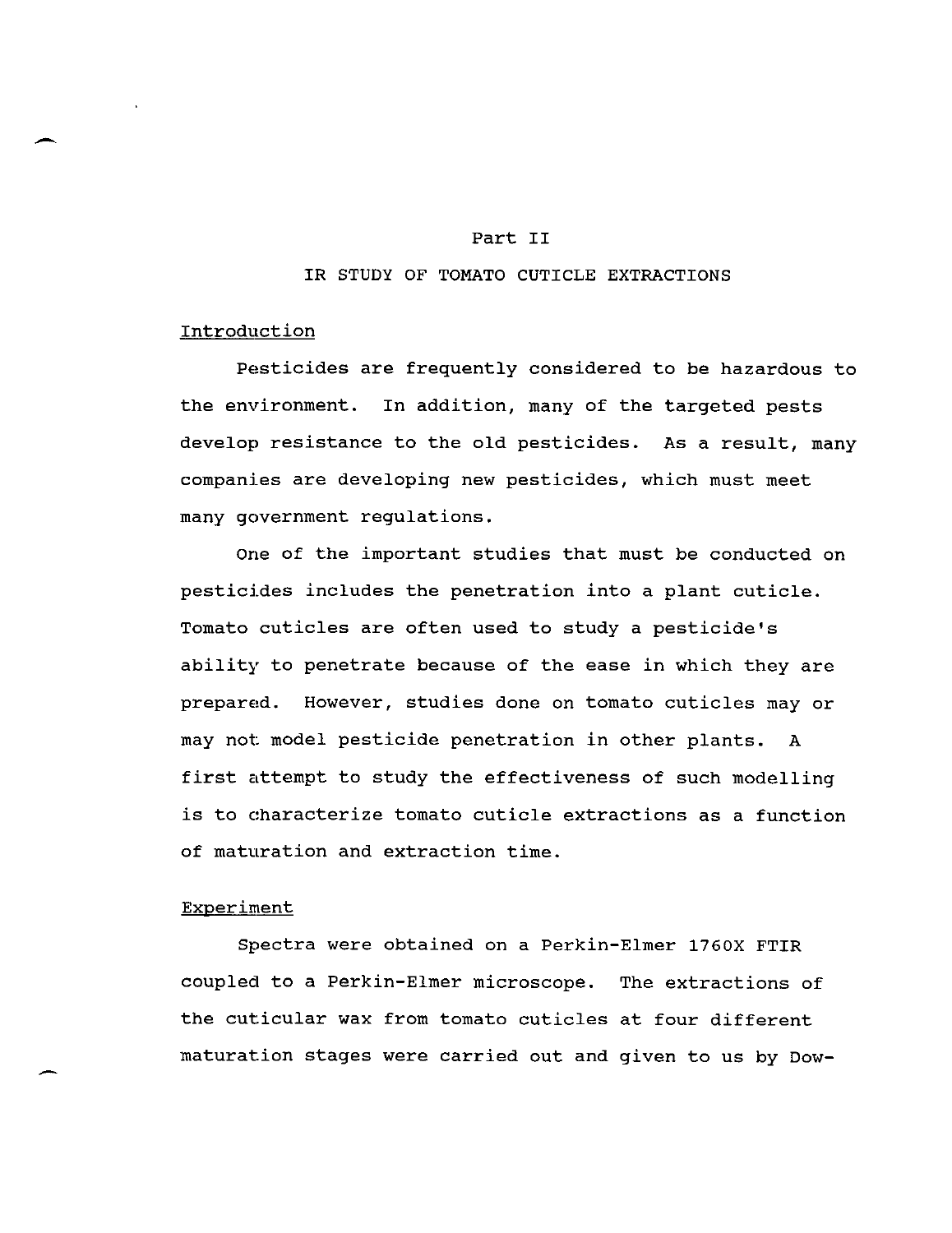#### Part II

#### IR STUDY OF TOMATO CUTICLE EXTRACTIONS

## Introduction

Pesticides are frequently considered to be hazardous to the environment. In addition, many of the targeted pests develop resistance to the old pesticides. As a result, many companies are developing new pesticides, which must meet many government regulations.

One of the important studies that must be conducted on pesticides includes the penetration into a plant cuticle. Tomato cuticles are often used to study a pesticide's ability to penetrate because of the ease in which they are prepared. However, studies done on tomato cuticles may or may not: model pesticide penetration in other plants. A first attempt to study the effectiveness of such modelling is to characterize tomato cuticle extractions as a function of maturation and extraction time.

#### Experiment

Spectra were obtained on a Perkin-Elmer 1760X FTIR coupled to a Perkin-Elmer microscope. The extractions of the cuticular wax from tomato cuticles at four different maturat:ion stages were carried out and given to us by Dow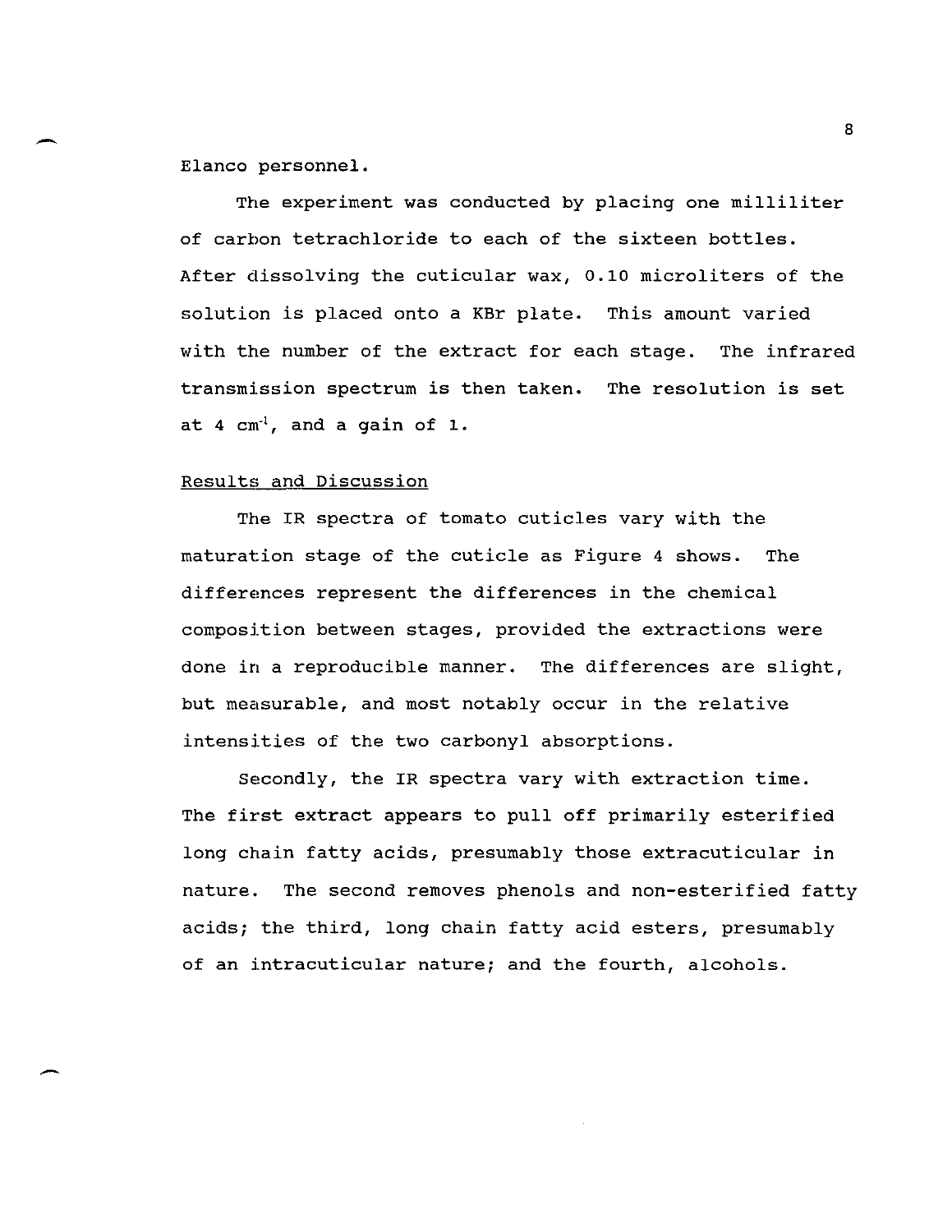Elanco personnel.

The experiment was conducted by placing one milliliter of carbon tetrachloride to each of the sixteen bottles. After dissolving the cuticular wax, 0.10 microliters of the solution is placed onto a KBr plate. This amount varied with the number of the extract for each stage. The infrared transmission spectrum is then taken. The resolution is set at  $4 \text{ cm}^{-1}$ , and a gain of 1.

#### Results and Discussion

The IR spectra of tomato cuticles vary with the maturat:ion stage of the cuticle as Figure 4 shows. The differemces represent the differences in the chemical composition between stages, provided the extractions were done in a reproducible manner. The differences are slight, but measurable, and most notably occur in the relative intensities of the two carbonyl absorptions.

Secondly, the IR spectra vary with extraction time. The first extract appears to pull off primarily esterified long chain fatty acids, presumably those extracuticular in nature. The second removes phenols and non-esterified fatty acids; the third, long chain fatty acid esters, presumably of an intracuticular nature; and the fourth, alcohols.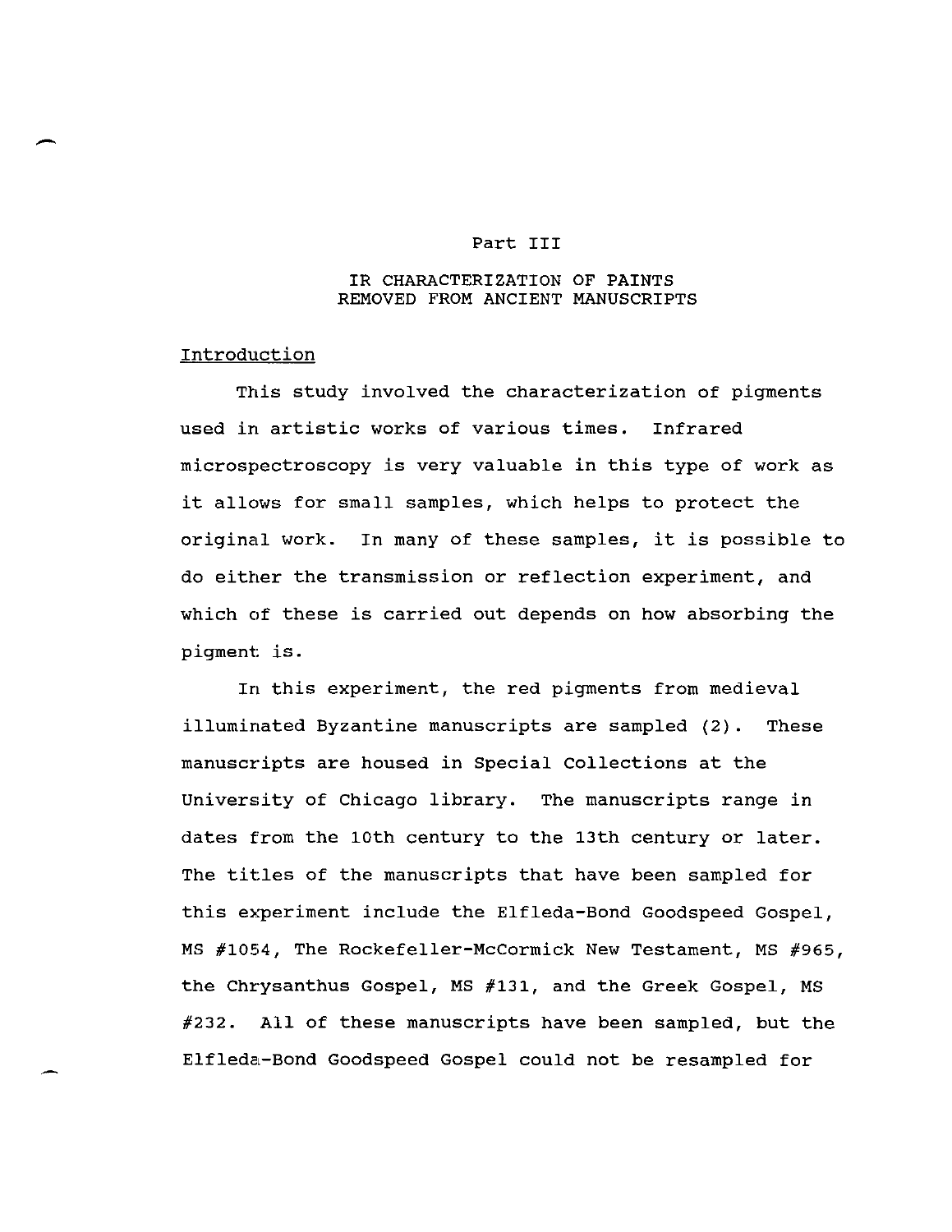#### Part III

#### IR CHARACTERIZATION OF PAINTS REMOVED FROM ANCIENT MANUSCRIPTS

#### Introduction

This study involved the characterization of pigments used in artistic works of various times. Infrared microspectroscopy is very valuable in this type of work as it allows for small samples, which helps to protect the original work. In many of these samples, it is possible to do either the transmission or reflection experiment, and which of these is carried out depends on how absorbing the pigment is.

In this experiment, the red pigments from medieval illuminated Byzantine manuscripts are sampled (2). These manuscripts are housed in Special Collections at the University of Chicago library. The manuscripts range in dates from the 10th century to the 13th century or later. The titles of the manuscripts that have been sampled for this experiment include the Elfleda-Bond Goodspeed Gospel, MS #1054, The Rockefeller-McCormick New Testament, MS #965, the Chrysanthus Gospel, MS #131, and the Greek Gospel, MS #232. All of these manuscripts have been sampled, but the Elfleda-Bond Goodspeed Gospel could not be resampled for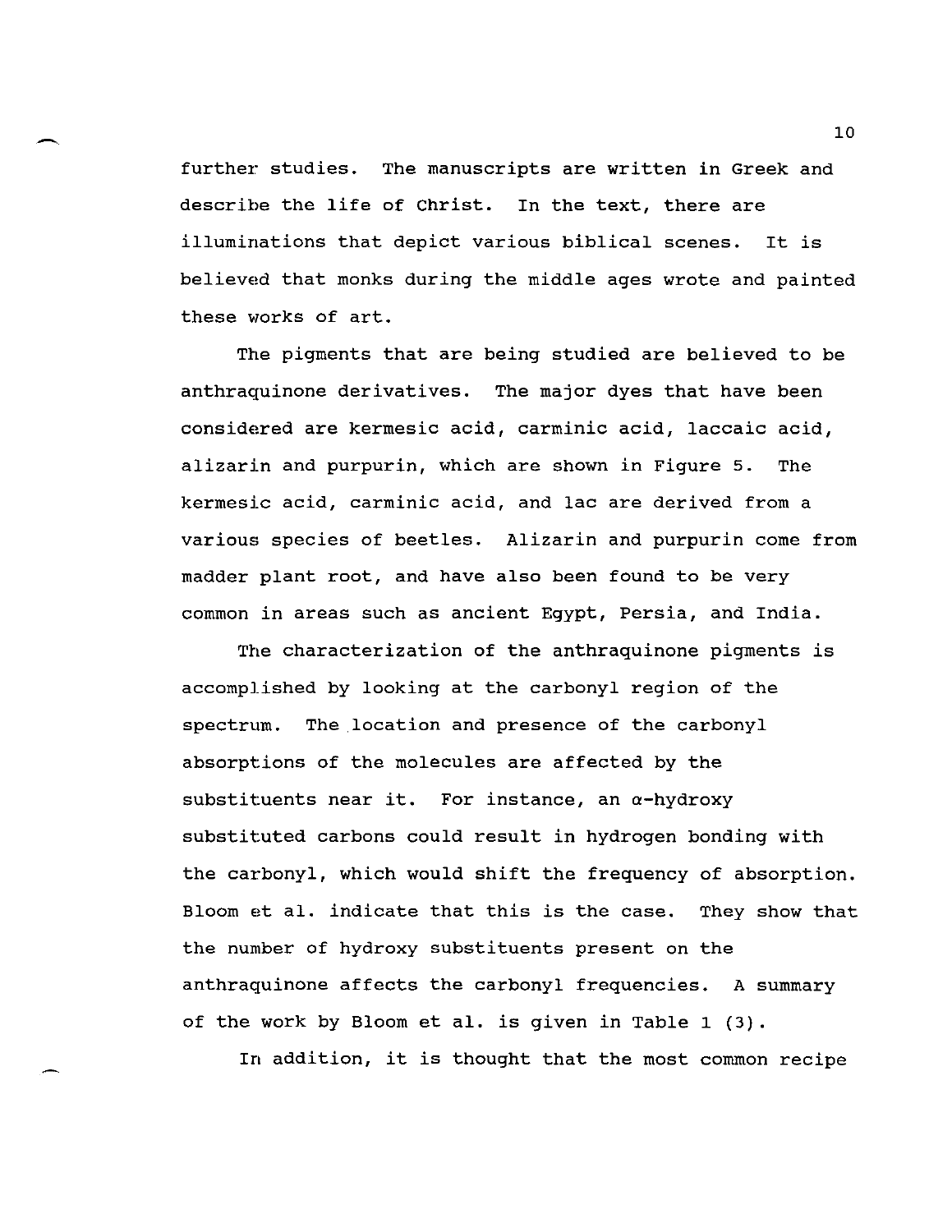further studies. The manuscripts are written in Greek and describe the life of Christ. In the text, there are illuminations that depict various biblical scenes. It is believed that monks during the middle ages wrote and painted these works of art.

The pigments that are being studied are believed to be anthraquinone derivatives. The major dyes that have been considered are kermesic acid, carminic acid, laccaic acid, alizarin and purpurin, which are shown in Figure 5. The kermesic acid, carminic acid, and lac are derived from a various species of beetles. Alizarin and purpurin come from madder plant root, and have also been found to be very common in areas such as ancient Egypt, Persia, and India.

The characterization of the anthraquinone pigments is accomplished by looking at the carbonyl region of the spectrum. The.location and presence of the carbonyl absorpt:ions of the molecules are affected by the substituents near it. For instance, an  $\alpha$ -hydroxy substituted carbons could result in hydrogen bonding with the carbonyl, which would shift the frequency of absorption. Bloom et al. indicate that this is the case. They show that the number of hydroxy substituents present on the anthraquinone affects the carbonyl frequencies. A summary of the work by Bloom et al. is given in Table 1 (3).

In addition, it is thought that the most common recipe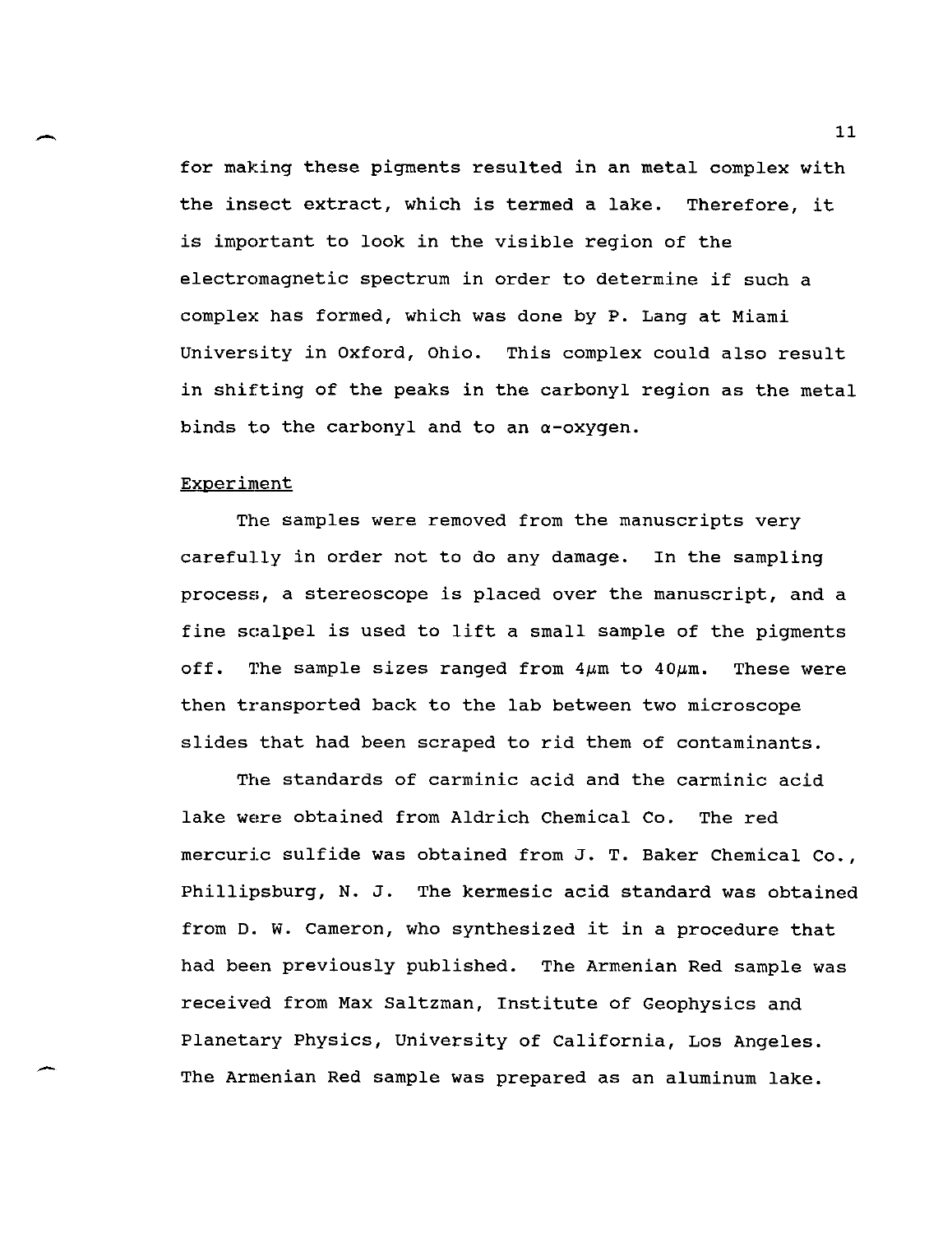$\overbrace{ }$ <br> $\overbrace{ }$ <br> $\overbrace{ }$ for making these pigments resulted in an metal complex with the insect extract, which is termed a lake. Therefore, it is important to look in the visible region of the electromagnetic spectrum in order to determine if such a complex has formed, which was done by P. Lang at Miami University in Oxford, Ohio. This complex could also result in shifting of the peaks in the carbonyl region as the metal binds to the carbonyl and to an  $\alpha$ -oxygen.

### Experiment

The samples were removed from the manuscripts very carefully in order not to do any damage. In the sampling process, a stereoscope is placed over the manuscript, and a fine scalpel is used to lift a small sample of the pigments off. The sample sizes ranged from  $4\,\mu$ m to  $40\,\mu$ m. These were then transported back to the lab between two microscope slides that had been scraped to rid them of contaminants.

The standards of carminic acid and the carminic acid lake were obtained from Aldrich Chemical Co. The red mercuric sulfide was obtained from J. T. Baker Chemical Co., Phillipsburg, N. J. The kermesic acid standard was obtained from D. w. Cameron, who synthesized it in a procedure that had beem previously published. The Armenian Red sample was received from Max Saltzman, Institute of Geophysics and Planetary Physics, University of California, Los Angeles. The Armenian Red sample was prepared as an aluminum lake.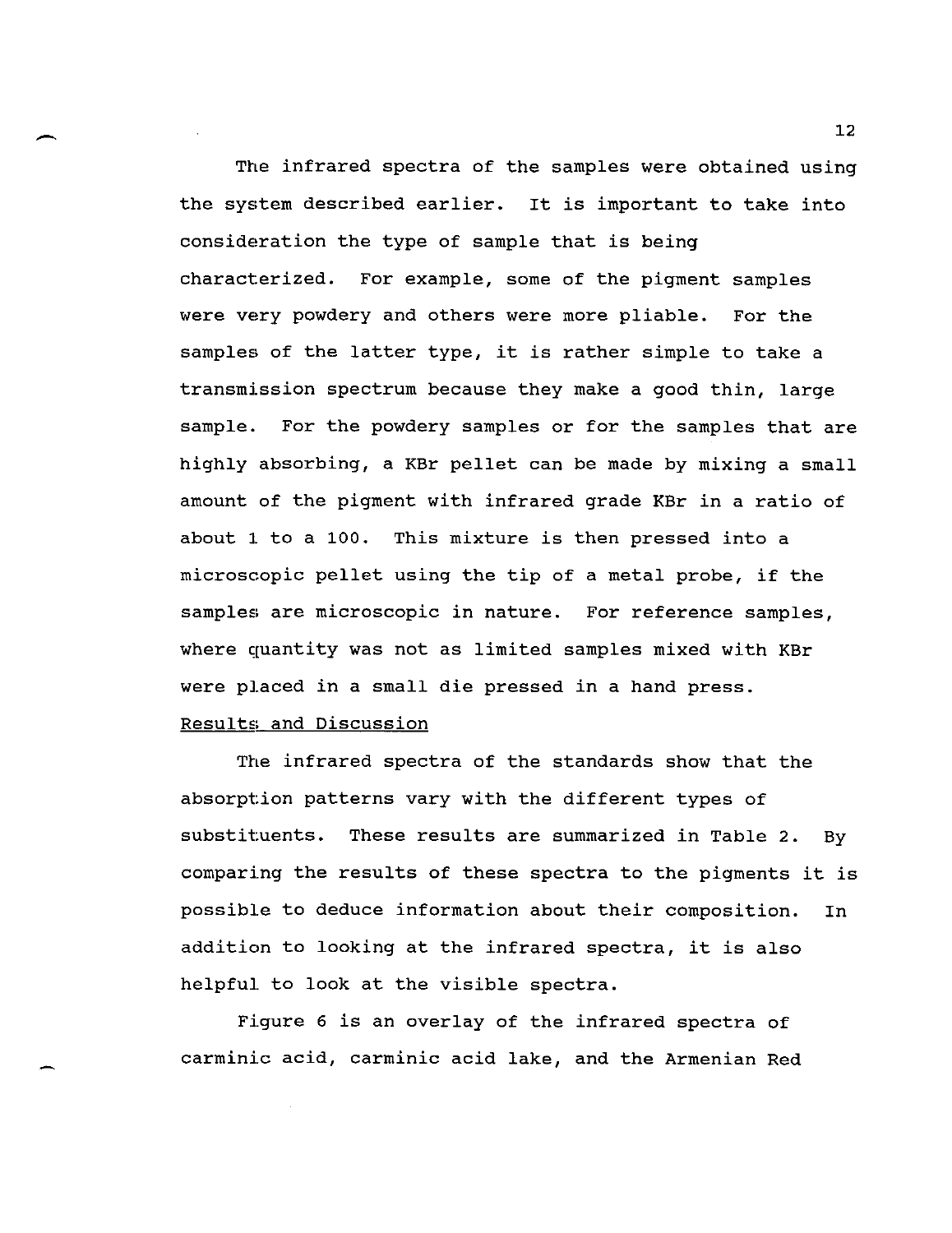The infrared spectra of the samples were obtained using the system described earlier. It is important to take into consideration the type of sample that is being characterized. For example, some of the pigment samples were very powdery and others were more pliable. For the samples of the latter type, it is rather simple to take a transmission spectrum because they make a good thin, large sample. For the powdery samples or for the samples that are highly absorbing, a KBr pellet can be made by mixing a small amount of the pigment with infrared grade KBr in a ratio of about 1. to a 100. This mixture is then pressed into a microscopic pellet using the tip of a metal probe, if the samples are microscopic in nature. For reference samples, where quantity was not as limited samples mixed with KBr were placed in a small die pressed in a hand press.

## Results and Discussion

The infrared spectra of the standards show that the absorption patterns vary with the different types of substituents. These results are summarized in Table 2. By comparing the results of these spectra to the pigments it is possible to deduce information about their composition. In addition to looking at the infrared spectra, it is also helpful to look at the visible spectra.

Figure 6 is an overlay of the infrared spectra of carminic acid, carminic acid lake, and the Armenian Red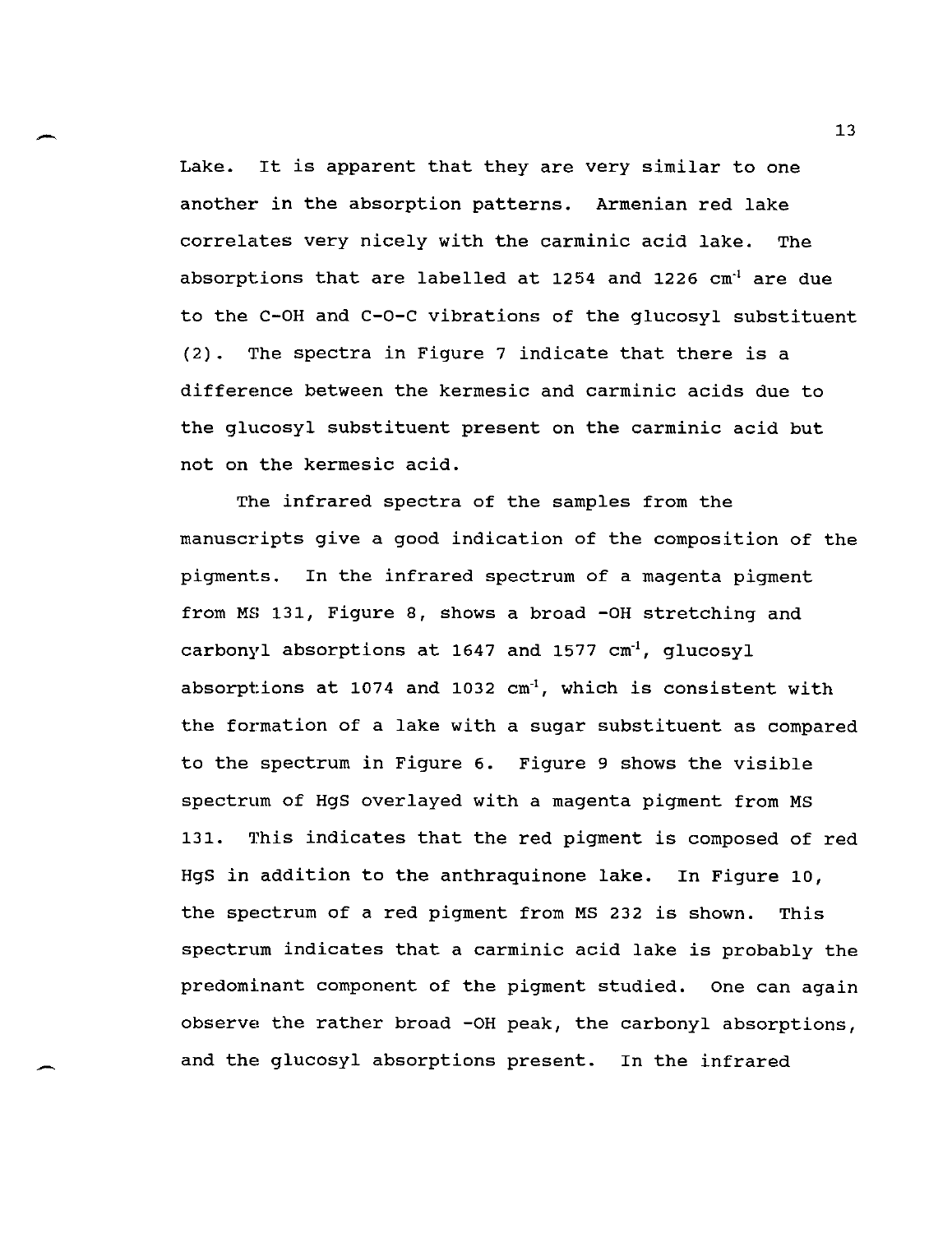Lake. It is apparent that they are very similar to one another in the absorption patterns. Armenian red lake correlates very nicely with the carminic acid lake. The absorptions that are labelled at 1254 and 1226  $cm<sup>-1</sup>$  are due to the C-OH and C-O-C vibrations of the glucosyl substituent (2). 17he spectra in Figure 7 indicate that there is a differemce between the kermesic and carminic acids due to the glucosyl substituent present on the carminic acid but not on the kermesic acid.

The infrared spectra of the samples from the manuscripts give a good indication of the composition of the pigments. In the infrared spectrum of a magenta pigment from MS 131, Figure 8, shows a broad -OH stretching and carbonyl absorptions at 1647 and 1577  $cm<sup>1</sup>$ , glucosyl absorptions at 1074 and 1032  $cm<sup>-1</sup>$ , which is consistent with the formation of a lake with a sugar substituent as compared to the spectrum in Figure 6. Figure 9 shows the visible spectrum of HgS overlayed with a magenta pigment from MS 131. 17his indicates that the red pigment is composed of red HgS in addition to the anthraquinone lake. In Figure 10, the spectrum of a red pigment from MS 232 is shown. This spectrum indicates that a carminic acid lake is probably the predominant component of the pigment studied. One can again observe the rather broad -OH peak, the carbonyl absorptions, and the glucosyl absorptions present. In the infrared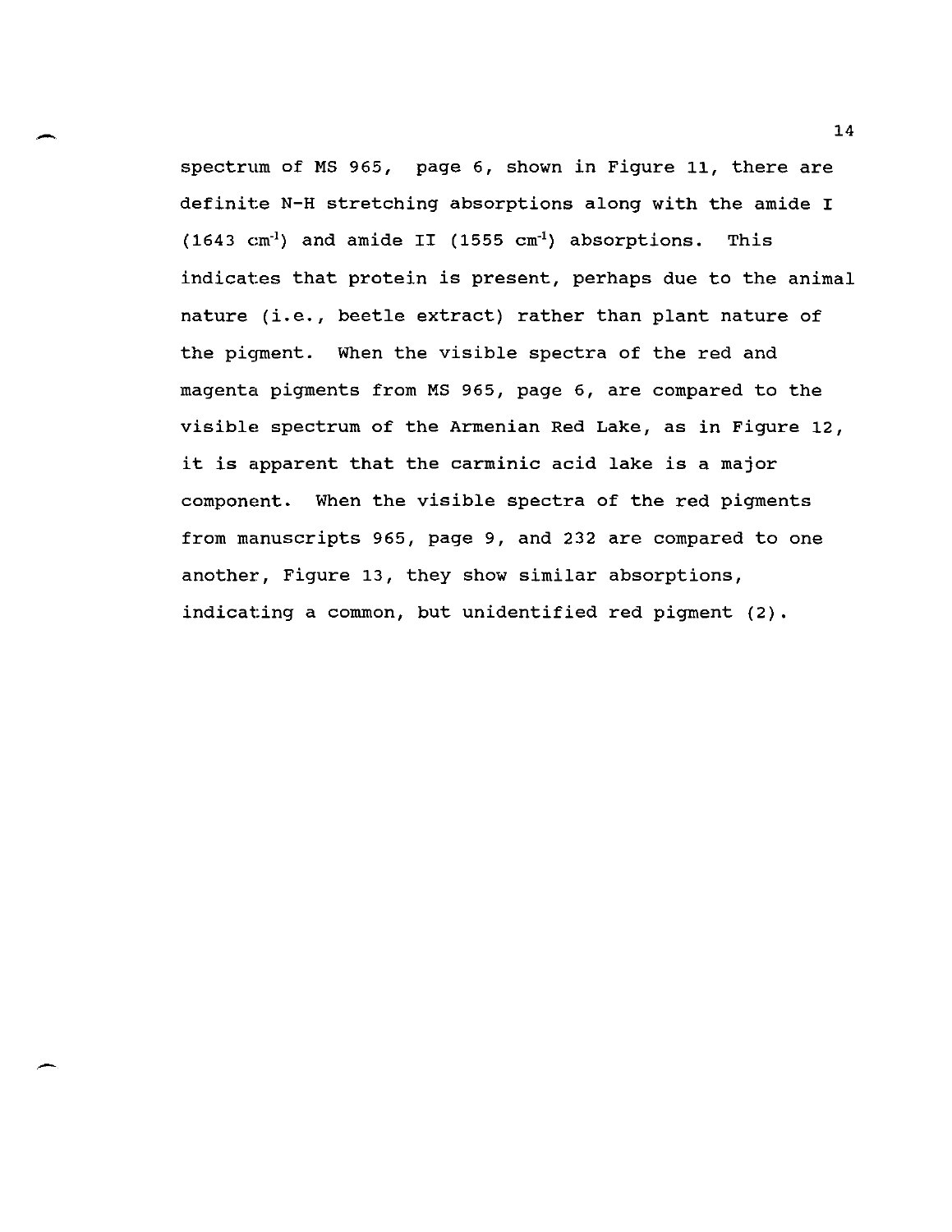$\overbrace{ }$ <br> $\overbrace{ }$   $\overbrace{ }$   $\overbrace{ }$   $\overbrace{ }$   $\overbrace{ }$   $\overbrace{ }$   $\overbrace{ }$   $\overbrace{ }$   $\overbrace{ }$   $\overbrace{ }$   $\overbrace{ }$   $\overbrace{ }$   $\overbrace{ }$   $\overbrace{ }$   $\overbrace{ }$   $\overbrace{ }$   $\overbrace{ }$   $\overbrace{ }$   $\overbrace{ }$   $\overbrace{ }$   $\overbrace{ }$   $\overbrace{ }$   $\overbrace{ }$   $\overbrace{ }$   $\overbrace{ }$   $\overbrace{ }$   $\overbrace{$ spectrum of MS 965, page 6, shown in Figure 11, there are definite N-H stretching absorptions along with the amide I  $(1643 \text{ cm}^{-1})$  and amide II  $(1555 \text{ cm}^{-1})$  absorptions. This indicates that protein is present, perhaps due to the animal nature (i.e., beetle extract) rather than plant nature of the piqment. When the visible spectra of the red and magenta pigments from MS 965, page 6, are compared to the visible spectrum of the Armenian Red Lake, as in Figure 12, it is apparent that the carminic acid lake is a major component. When the visible spectra of the red pigments from manuscripts 965, page 9, and 232 are compared to one another, Figure 13, they show similar absorptions, indicating a common, but unidentified red pigment (2).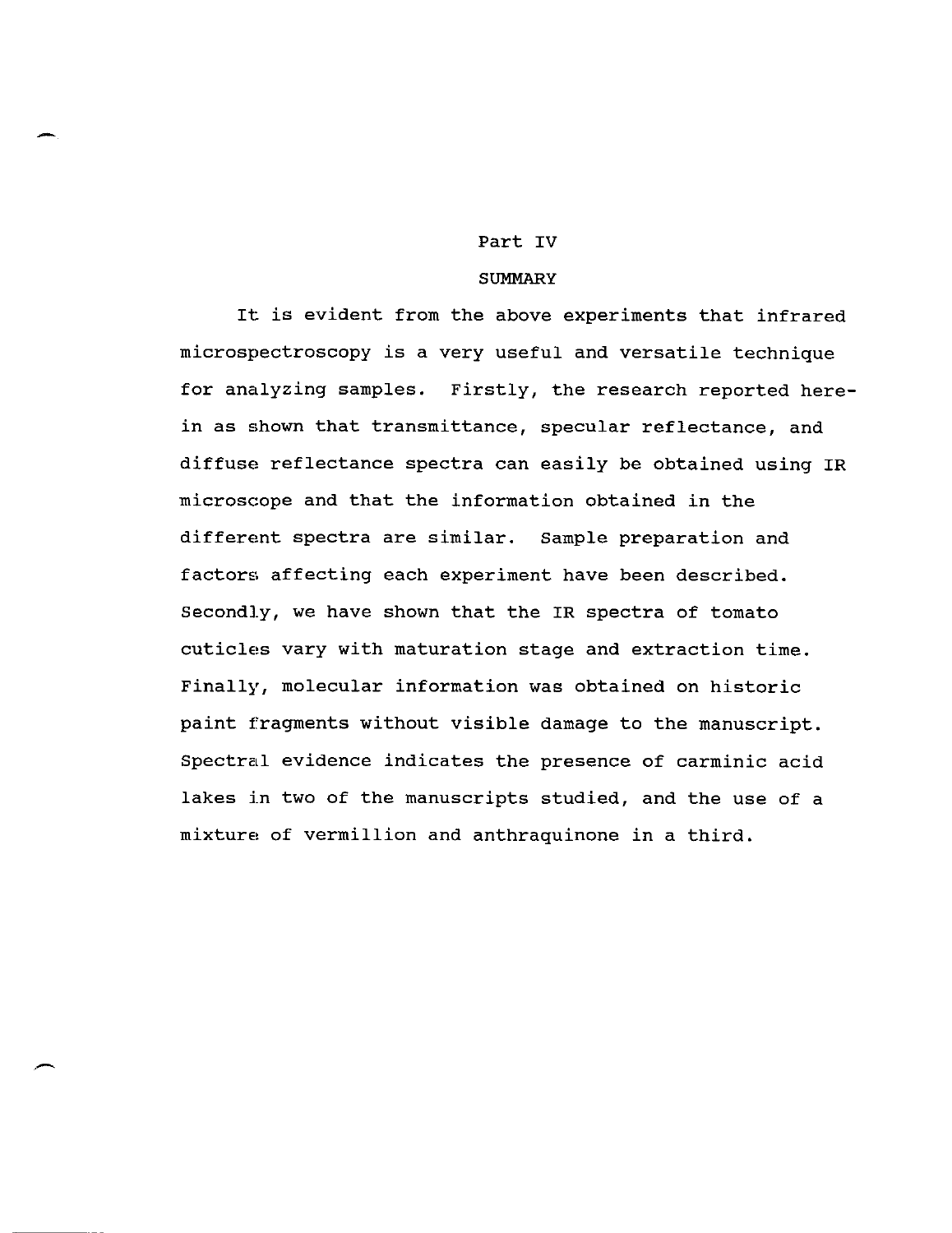# Part IV

-

## **SUMMARY**

It is evident from the above experiments that infrared micro spectroscopy is a very useful and versatile technique for analyzing samples. Firstly, the research reported herein as shown that transmittance, specular reflectance, and diffuse reflectance spectra can easily be obtained using IR microscope and that the information obtained in the differemt spectra are similar. Sample preparation and factors affecting each experiment have been described. Secondly, we have shown that the IR spectra of tomato cuticles vary with maturation stage and extraction time. Finally, molecular information was obtained on historic paint fragments without visible damage to the manuscript. Spectral evidence indicates the presence of carminic acid lakes in two of the manuscripts studied, and the use of a mixture, of vermillion and anthraquinone in a third.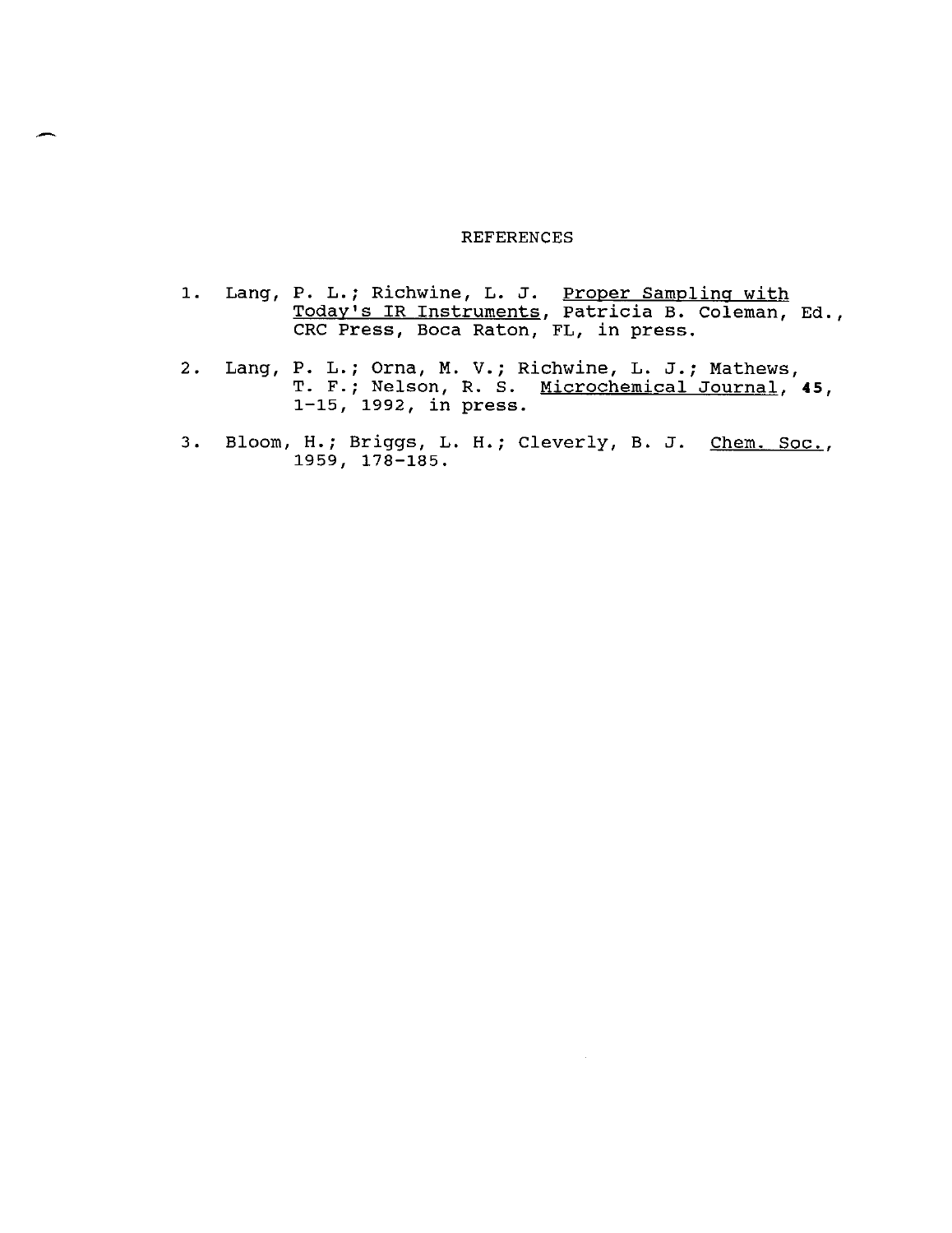#### REFERENCES

- 1. Lang, P. L.; Richwine, L. J. Proper Sampling with Today's IR Instruments, Patricia B. Coleman, Ed., CRC Press, Boca Raton, FL, in press.
- 2. Lang, P. L.; Orna, M. V.; Richwine, L. J.; Mathews, T. F.; Nelson, R. S. Microchemical Journal, **45,**  1-15, 1992, in press.
- 3. Bloom, H.; Briggs, L. H.; Cleverly, B. J. Chem. Soc., 1959, 178-185.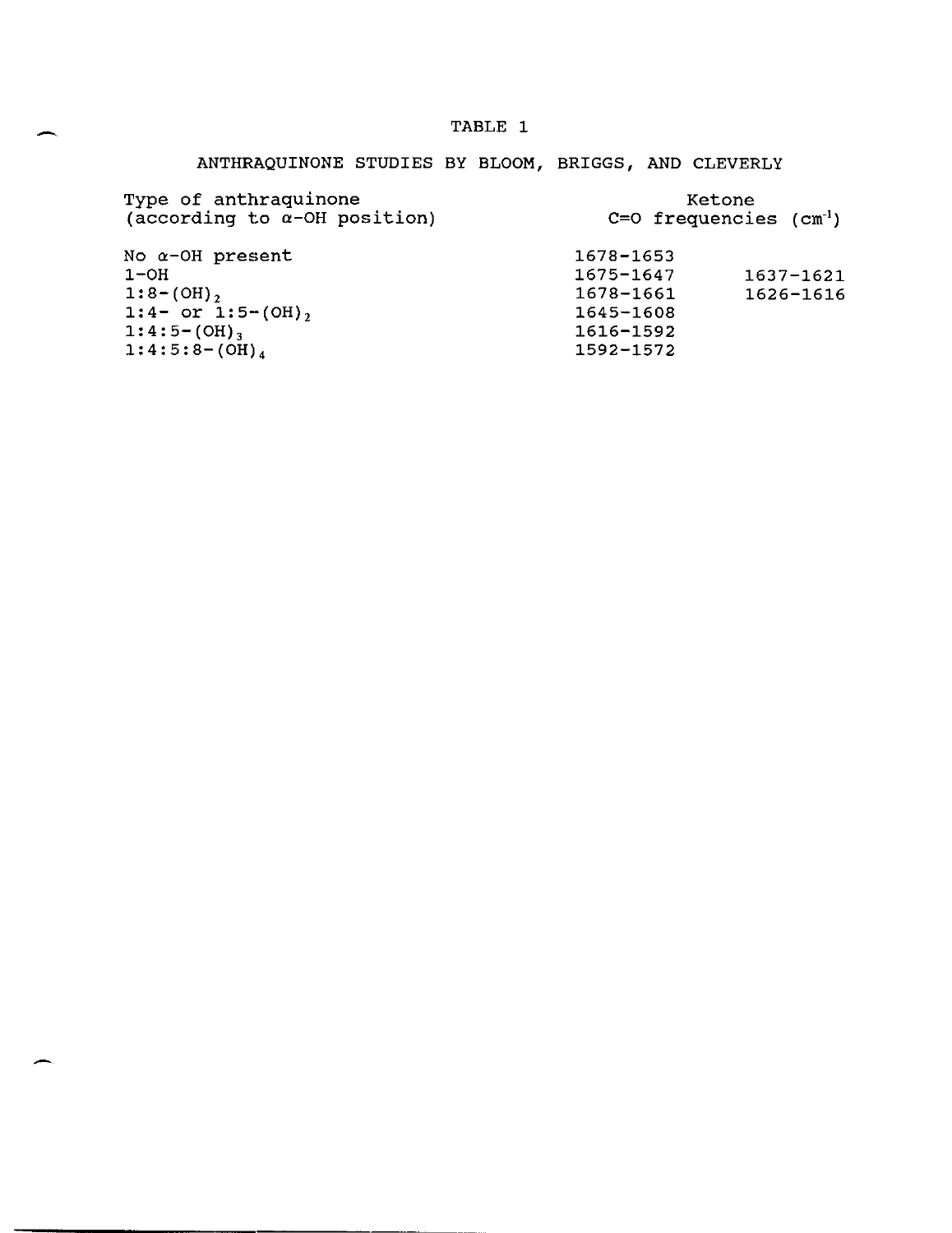# TABLE 1

# ANTHRAQUINONE STUDIES BY BLOOM, BRIGGS, AND CLEVERLY

| Type of anthraquinone<br>(according to $\alpha$ -OH position) | Ketone<br>$C=O$ frequencies $(cm^{-1})$ |           |  |
|---------------------------------------------------------------|-----------------------------------------|-----------|--|
| No $\alpha$ -OH present                                       | 1678-1653                               |           |  |
| $1-OH$                                                        | 1675-1647                               | 1637-1621 |  |
| $1:8-(OH)$ ,                                                  | 1678-1661                               | 1626-1616 |  |
| $1:4-$ or $1:5-(OH)$ ,                                        | 1645-1608                               |           |  |
| $1:4:5-(OH)$ ,                                                | 1616-1592                               |           |  |
| $1:4:5:8-(OH)4$                                               | 1592-1572                               |           |  |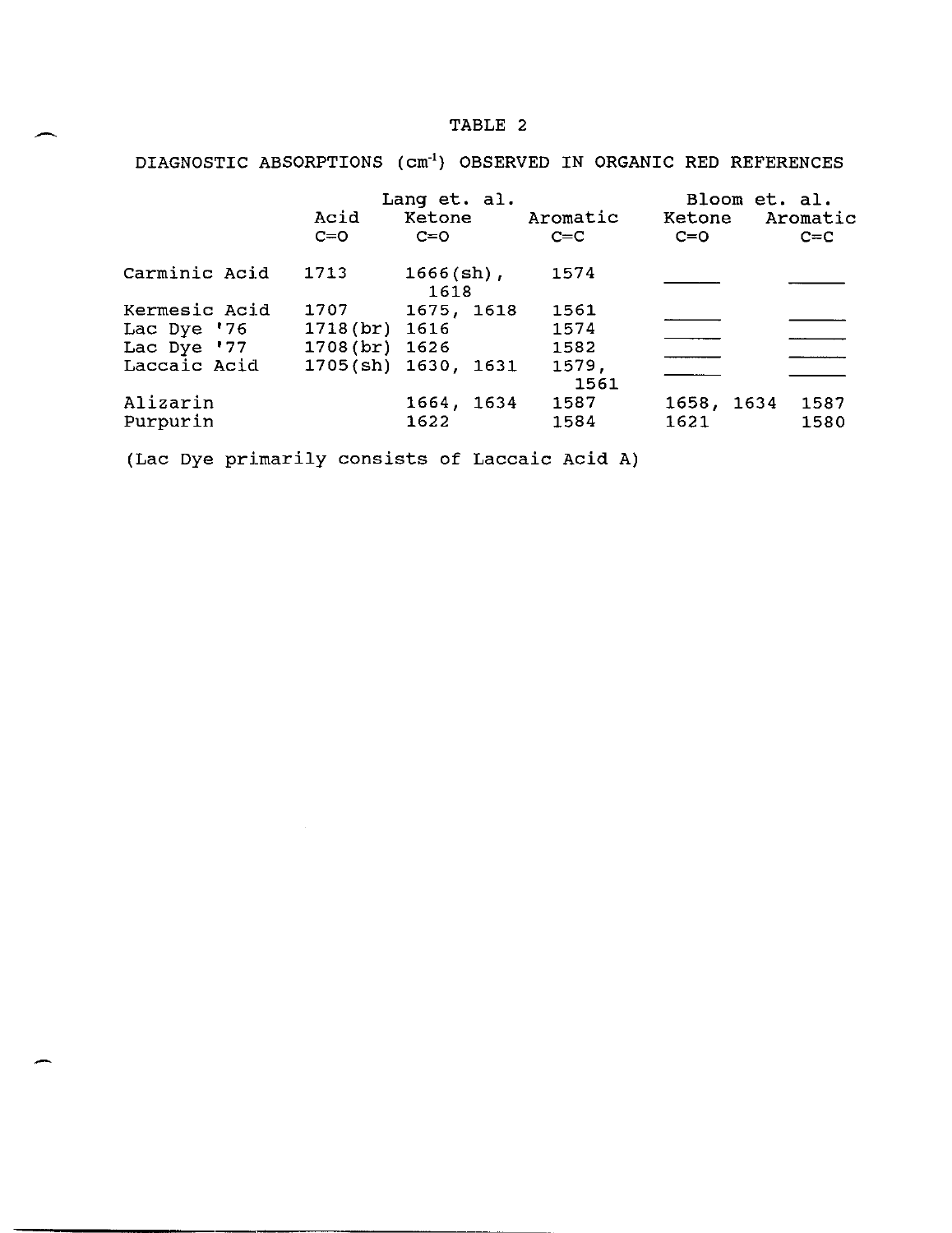# TABLE 2

DIAGNOSTIC ABSORPTIONS (cm<sup>-1</sup>) OBSERVED IN ORGANIC RED REFERENCES

|                      | Acid<br>$C=O$  | Lang et. al.<br>Ketone<br>$C=O$ | Aromatic<br>$C=C$ | Bloom et. al.<br>Ketone Aromatic<br>$C=O$ | $C=C$        |
|----------------------|----------------|---------------------------------|-------------------|-------------------------------------------|--------------|
| Carminic Acid        | 1713           | $1666$ (sh),<br>1618            | 1574              |                                           |              |
| Kermesic Acid        | 1707           | 1675, 1618                      | 1561              |                                           |              |
| Lac Dye '76          | 1718(br) 1616  |                                 | 1574              |                                           |              |
| Lac Dye '77          | 1708 (br) 1626 |                                 | 1582              |                                           |              |
| Laccaic Acid         |                | 1705(sh) 1630, 1631             | 1579,<br>1561     |                                           |              |
| Alizarin<br>Purpurin |                | 1664, 1634<br>1622              | 1587<br>1584      | 1658, 1634<br>1621                        | 1587<br>1580 |

(Lac Dye primarily consists of Laccaic Acid A)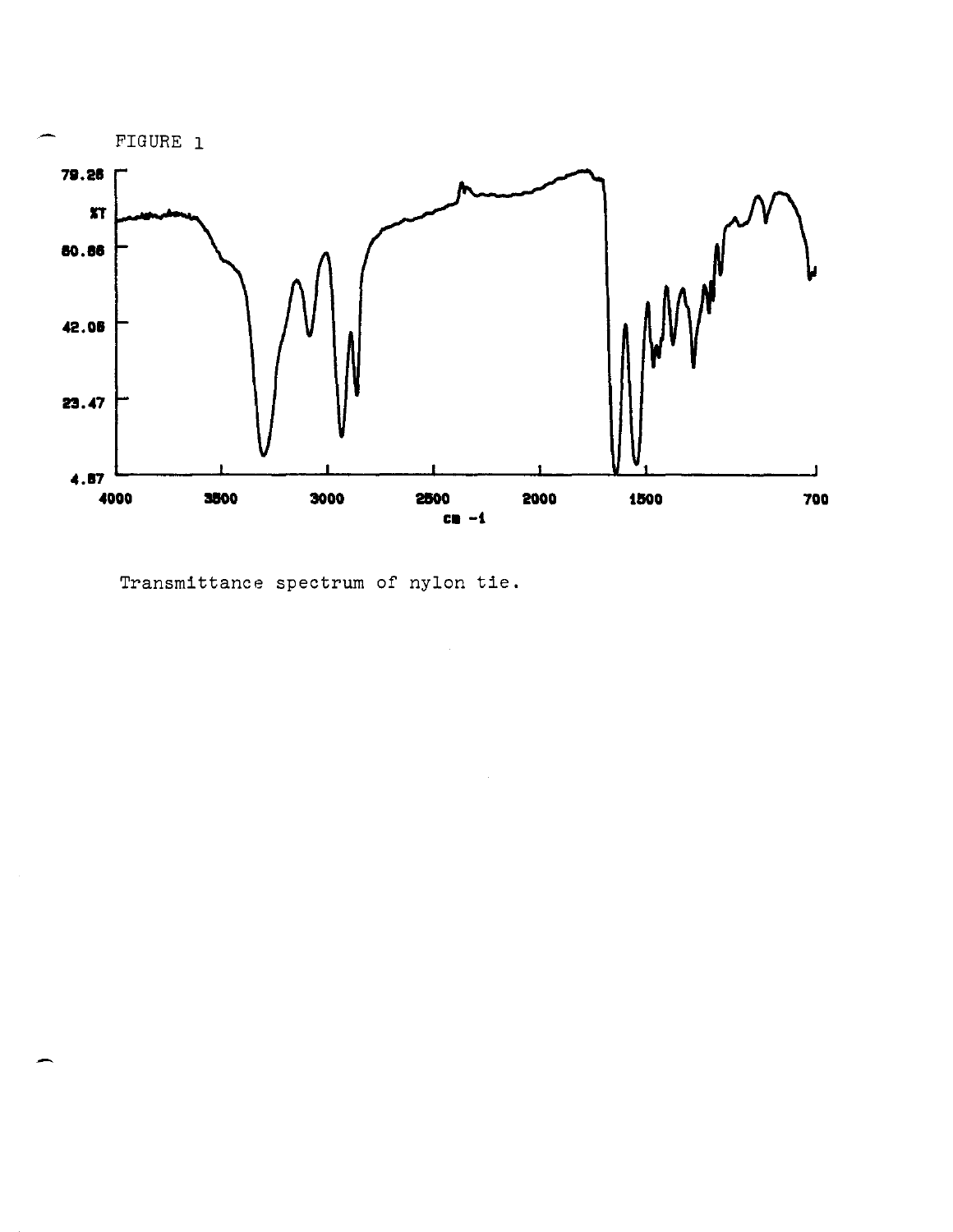

Transmittance spectrum of nylon tie.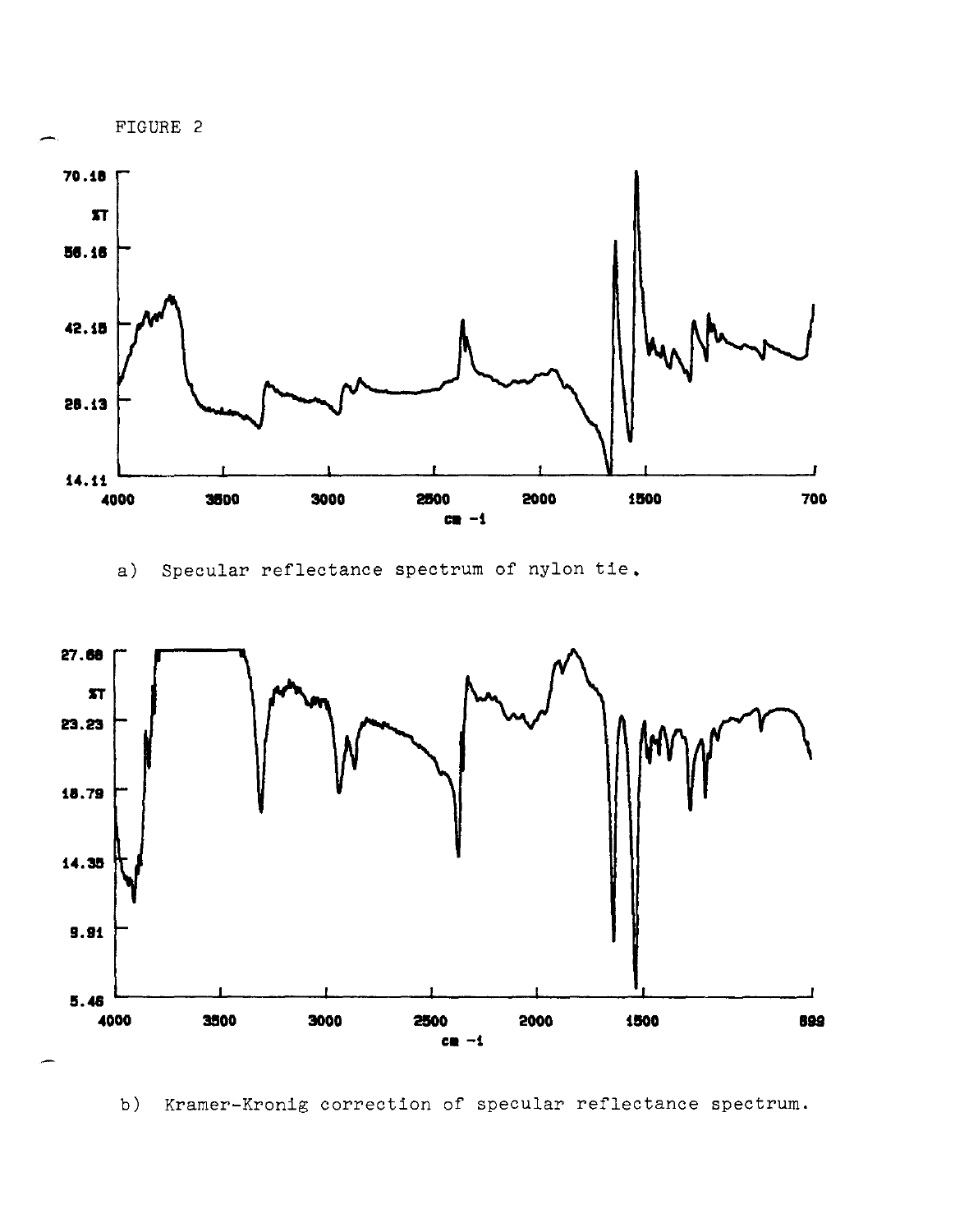

a) Specular reflectance spectrum of nylon tie,



b) Kramer-Kronig correction of specular reflectance spectrum.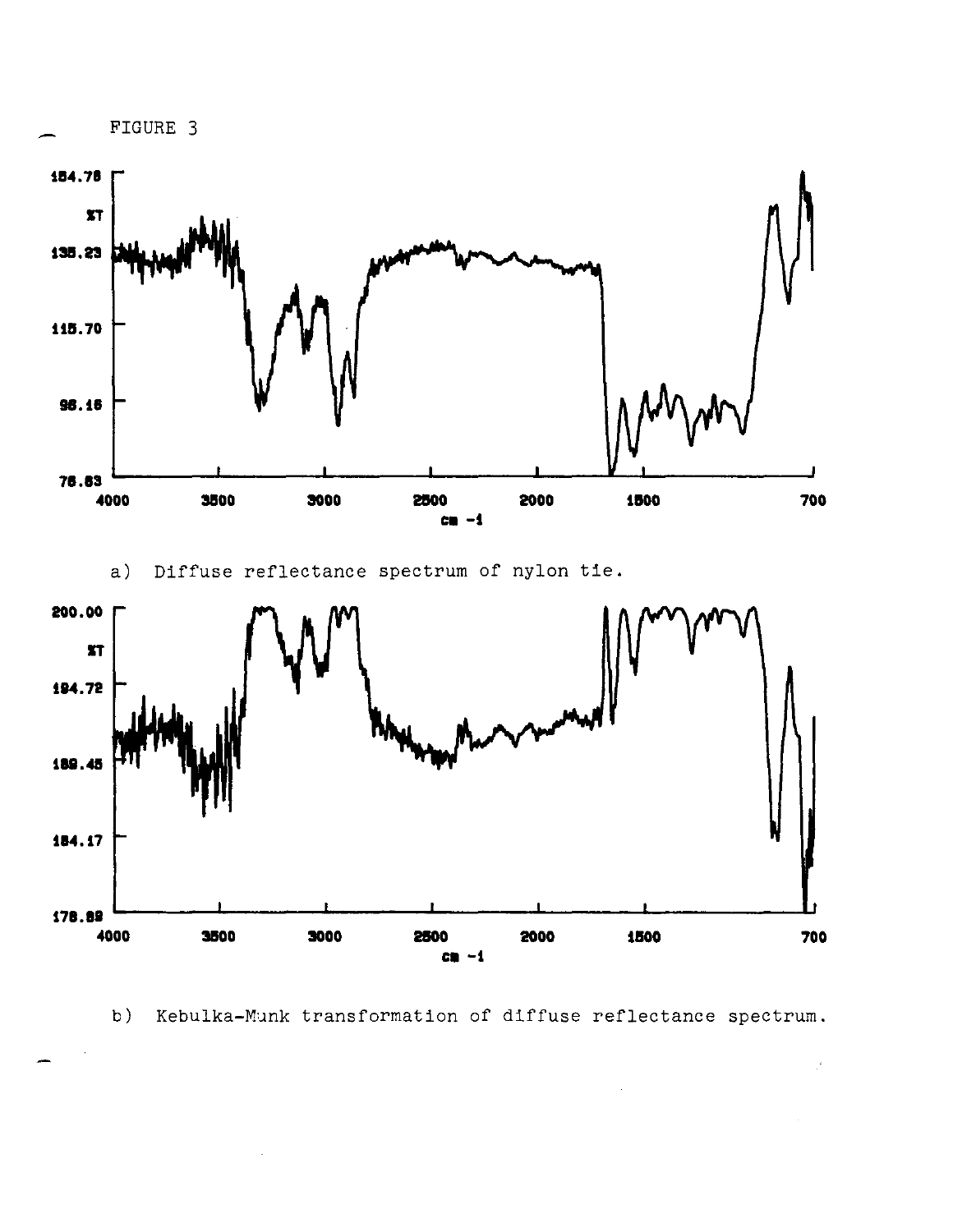

b) Kebulka-Munk transformation of diffuse reflectance spectrum.

 $\mathbb{R}^2$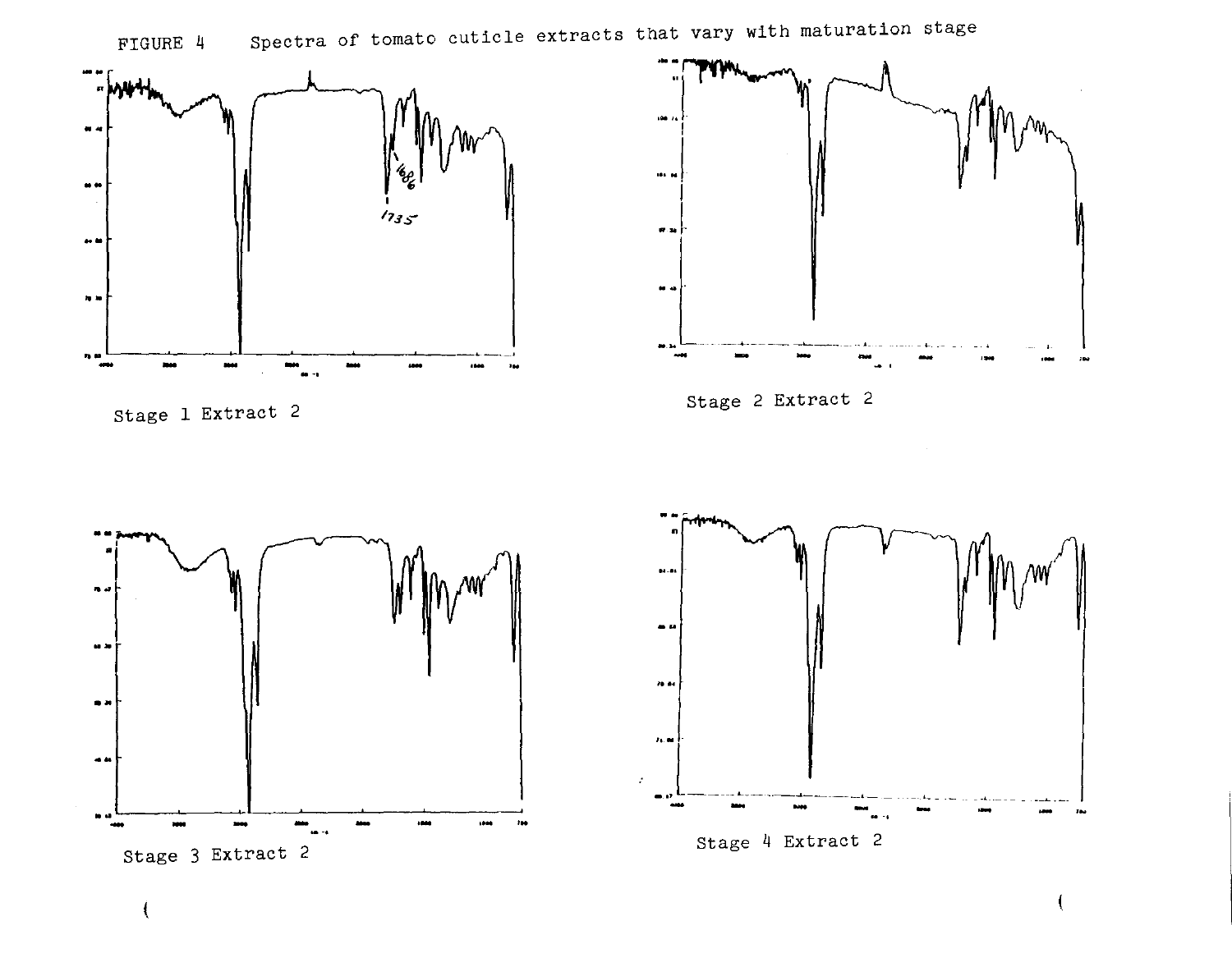

FIGURE 4 Spectra of tomato cuticle extracts that vary with maturation stage



stage 1 Extract 2

(









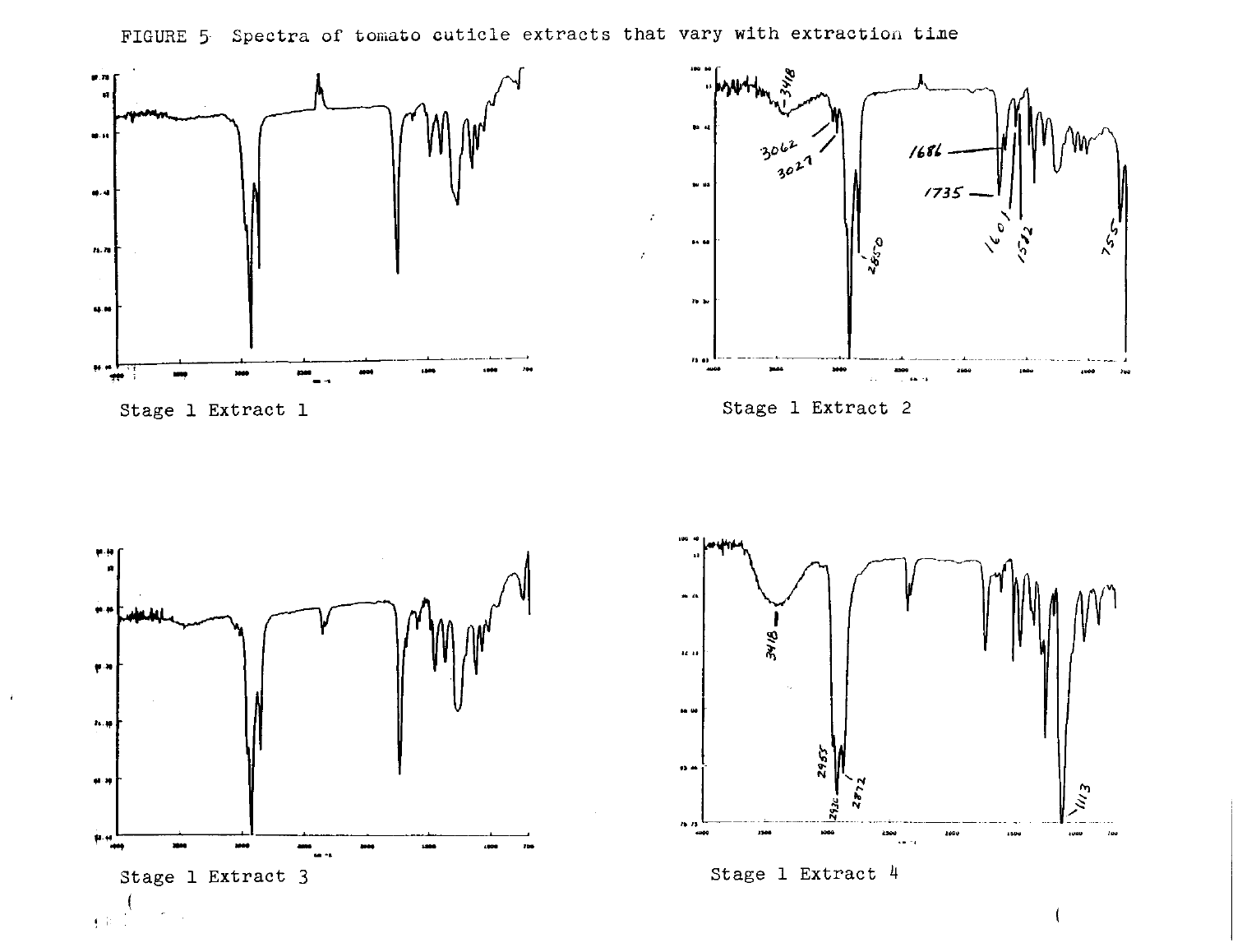



Stage 1 Extract 1









Stage 1 Extract  $4$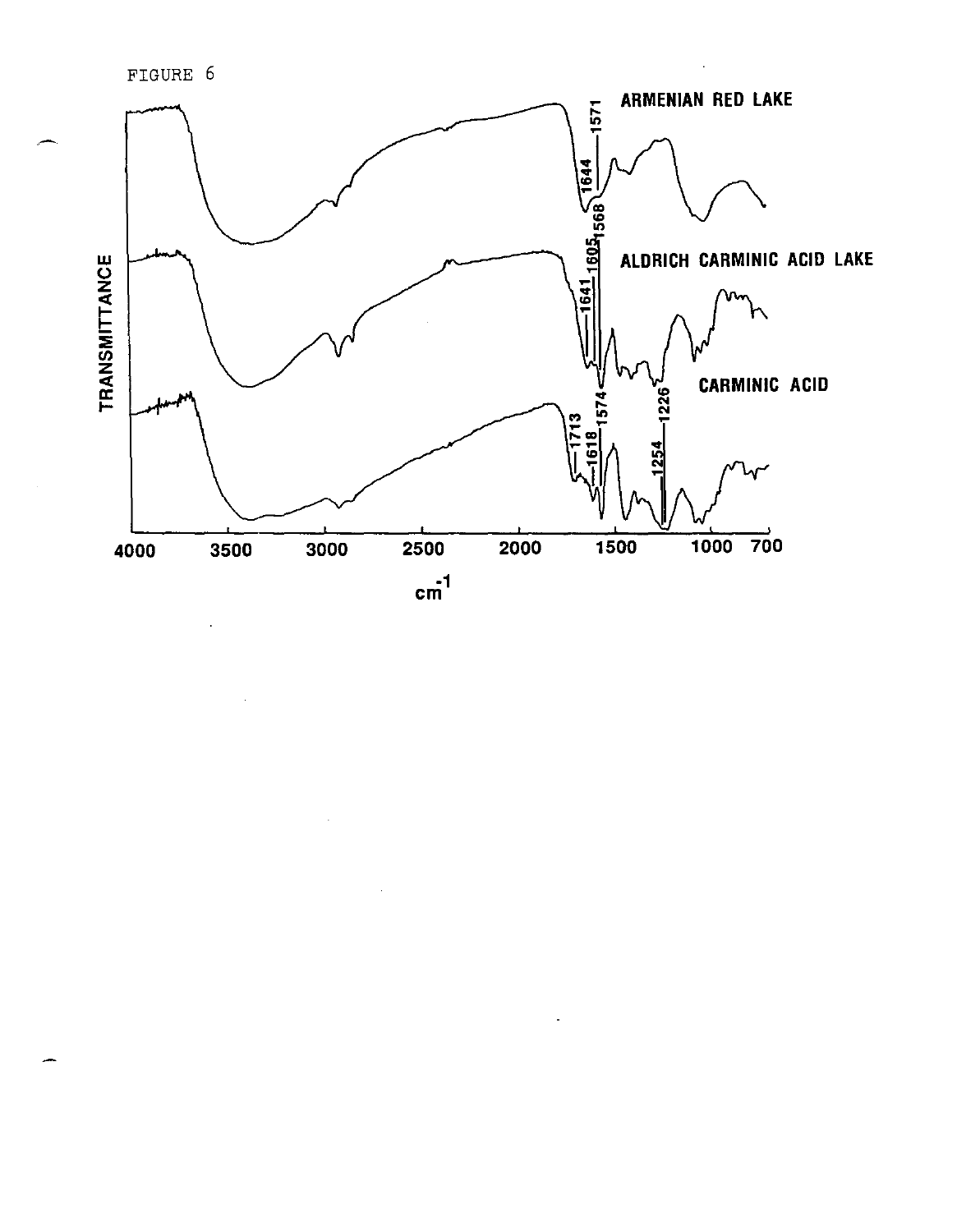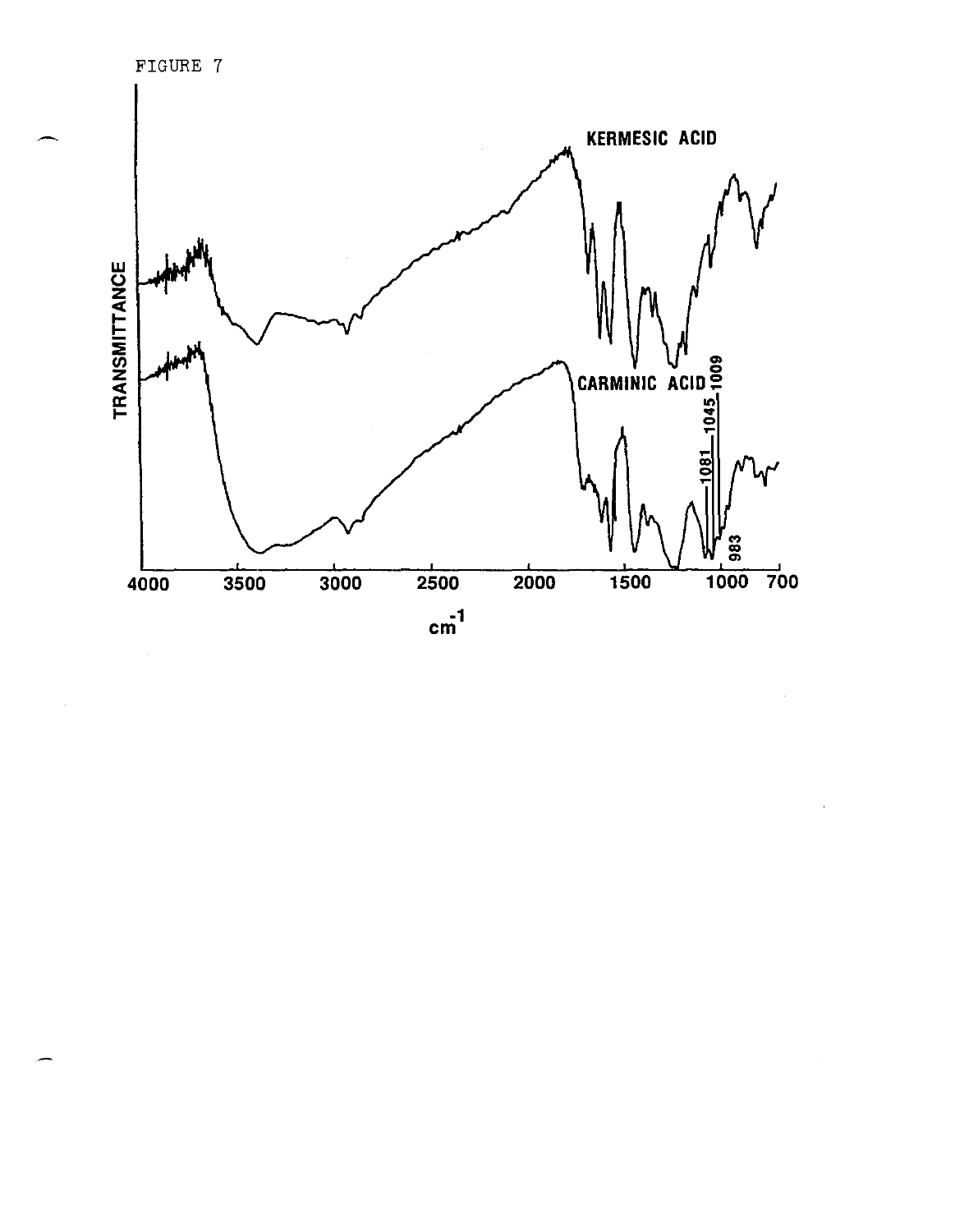FIGURE 7



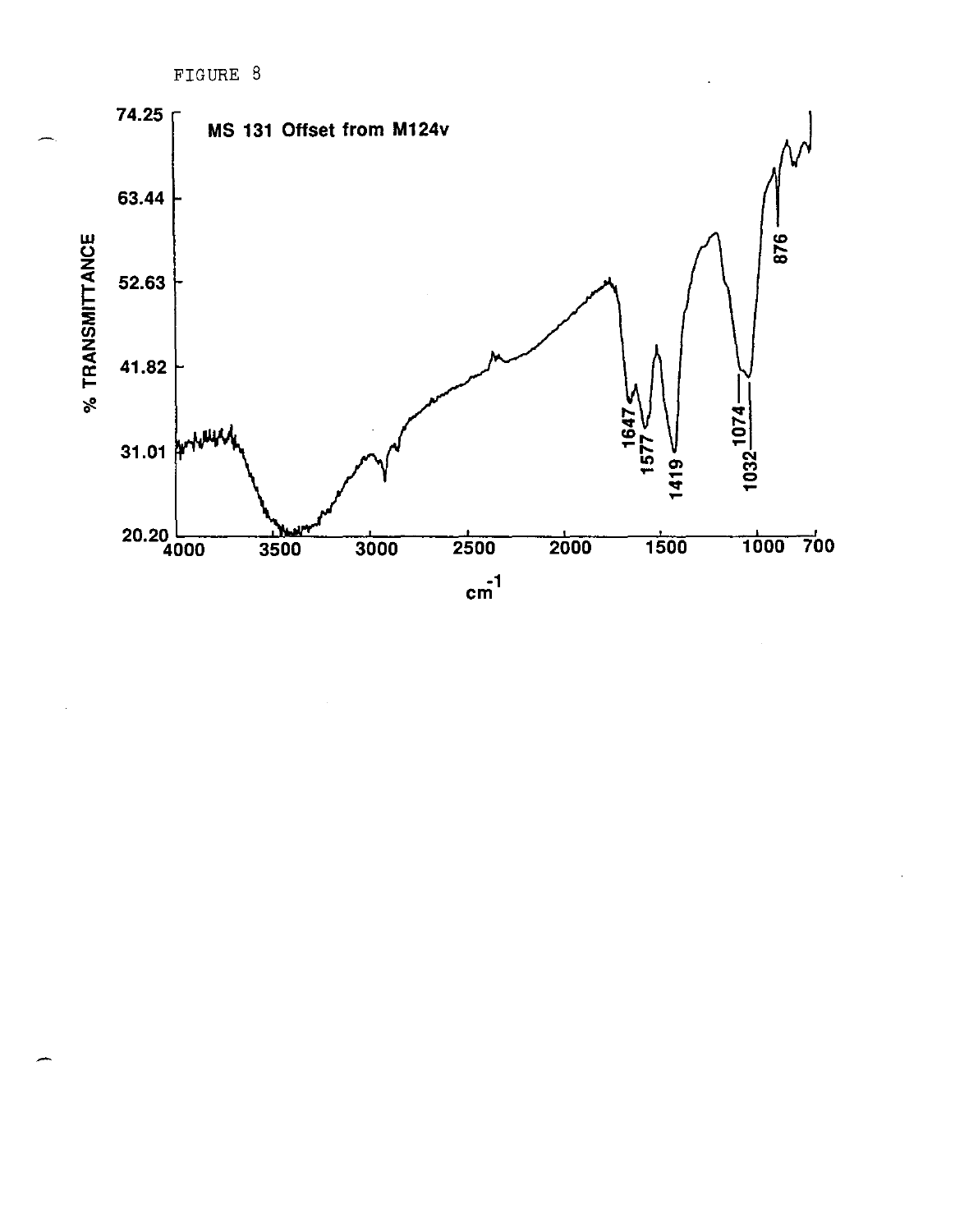

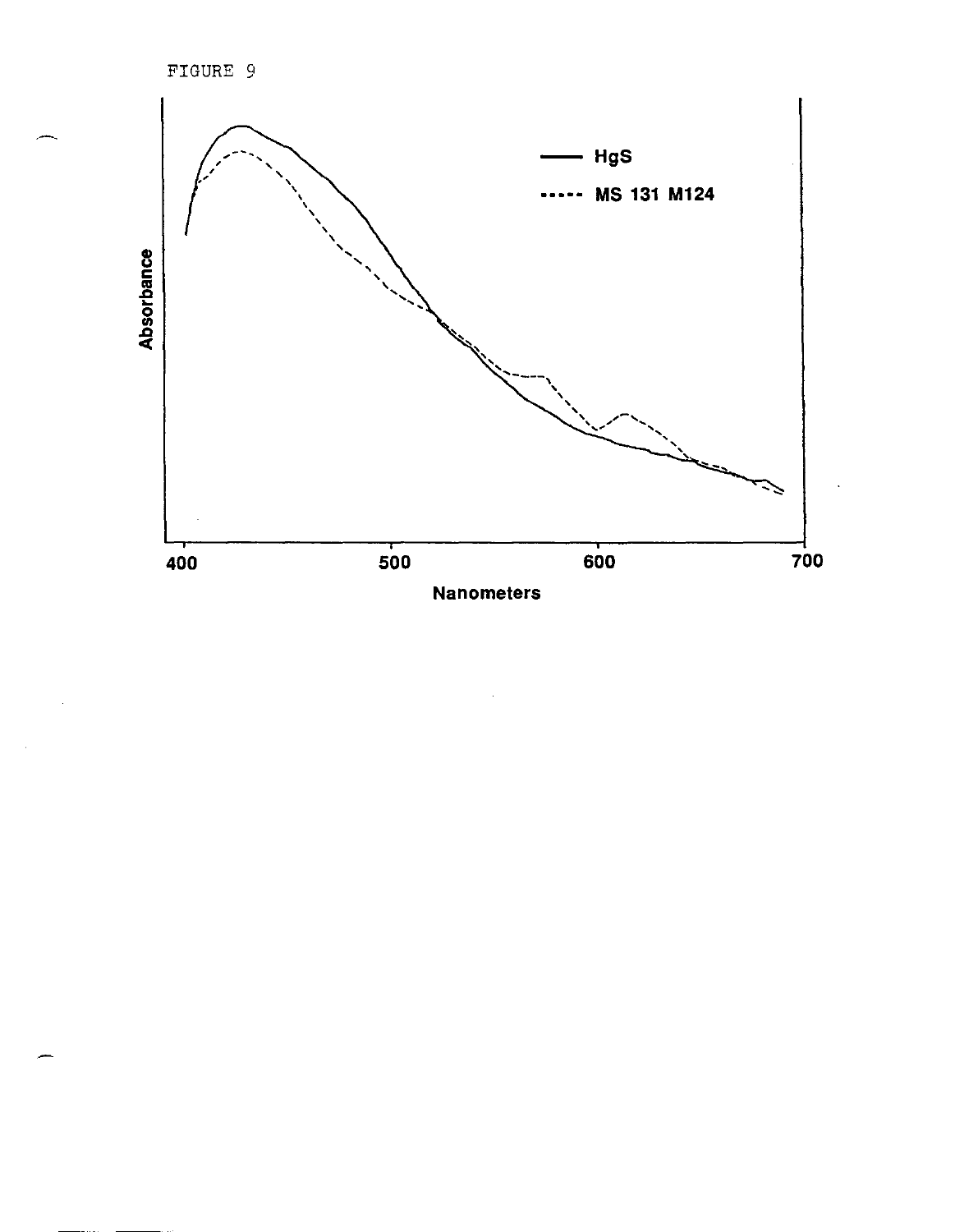FIGURE 9

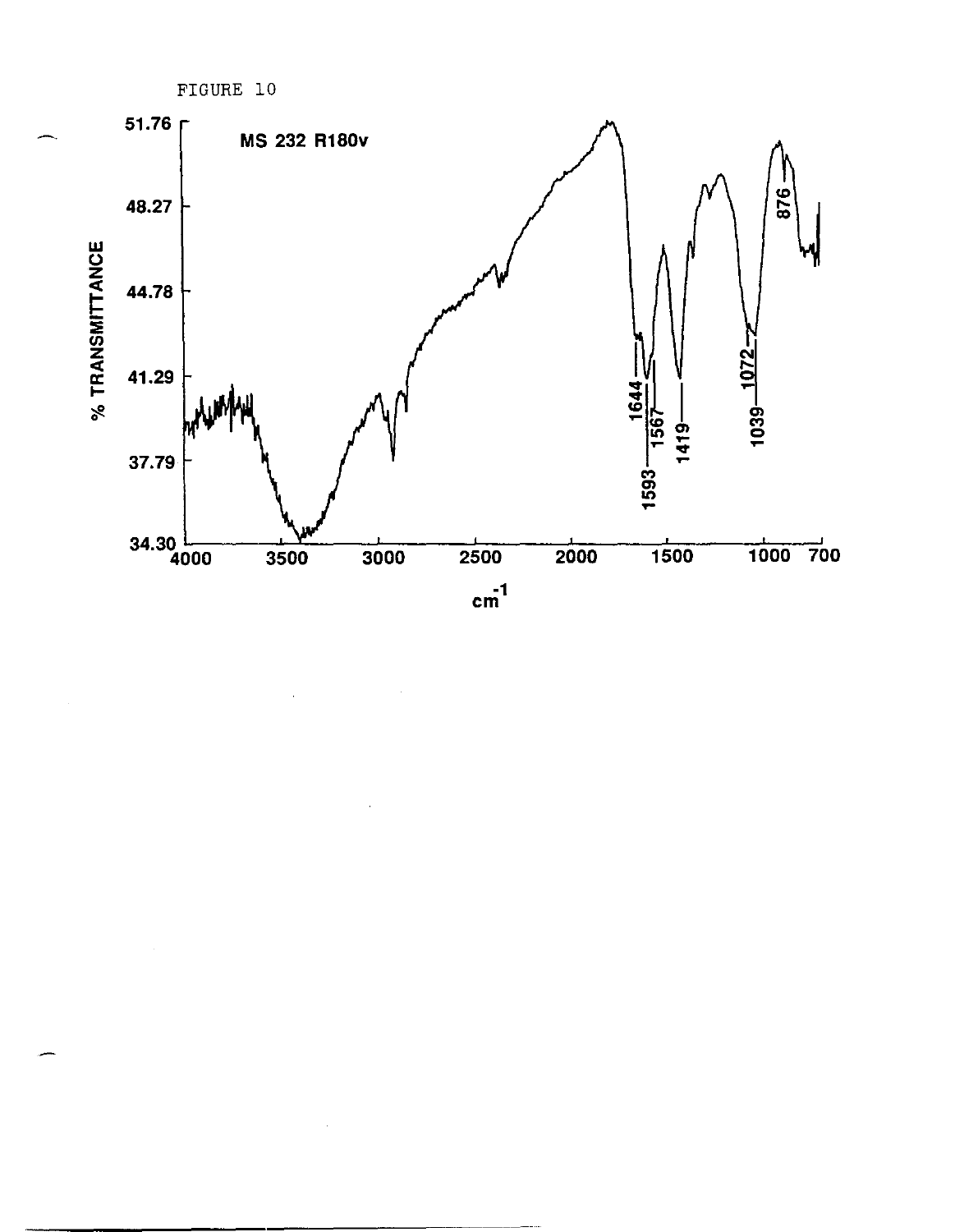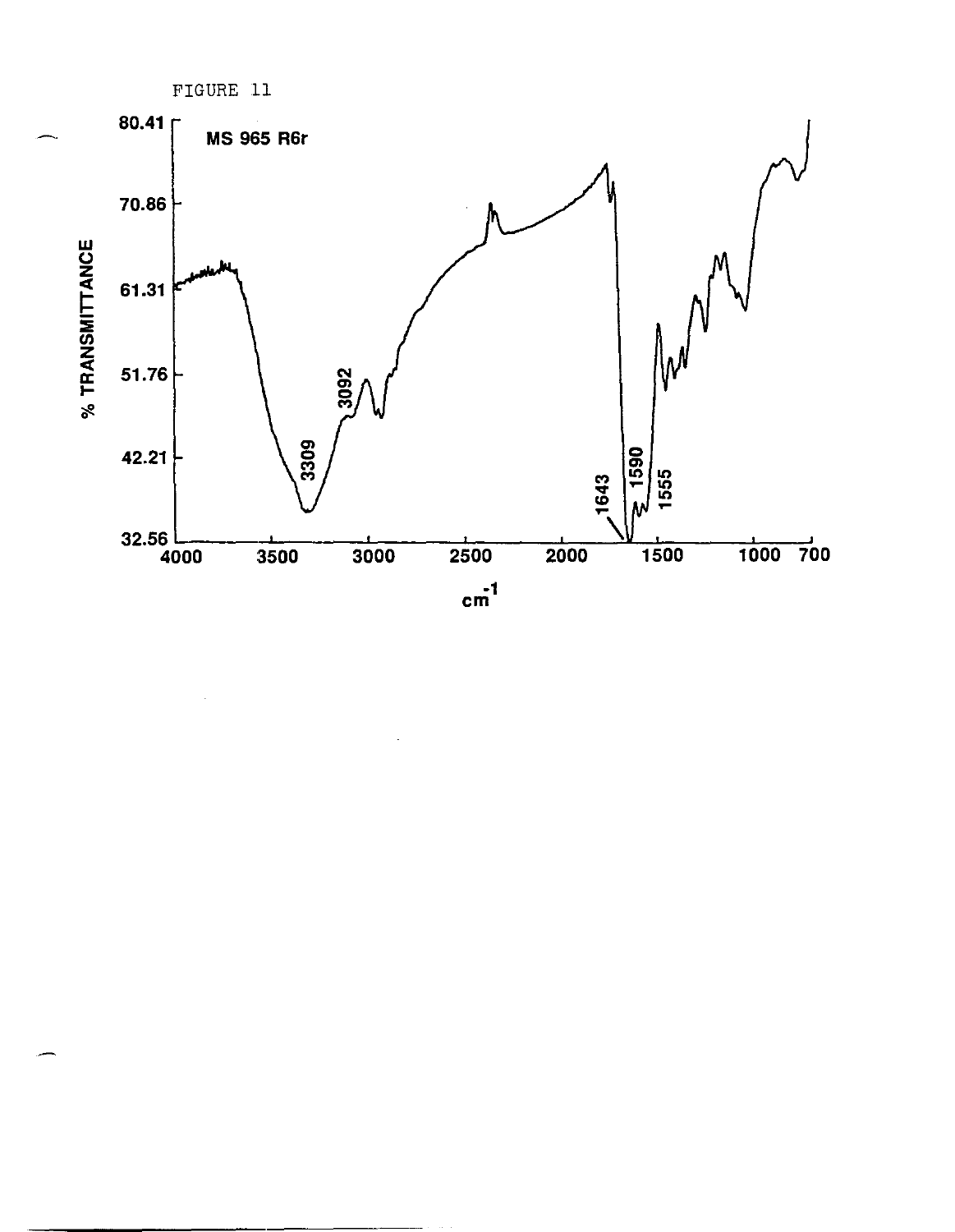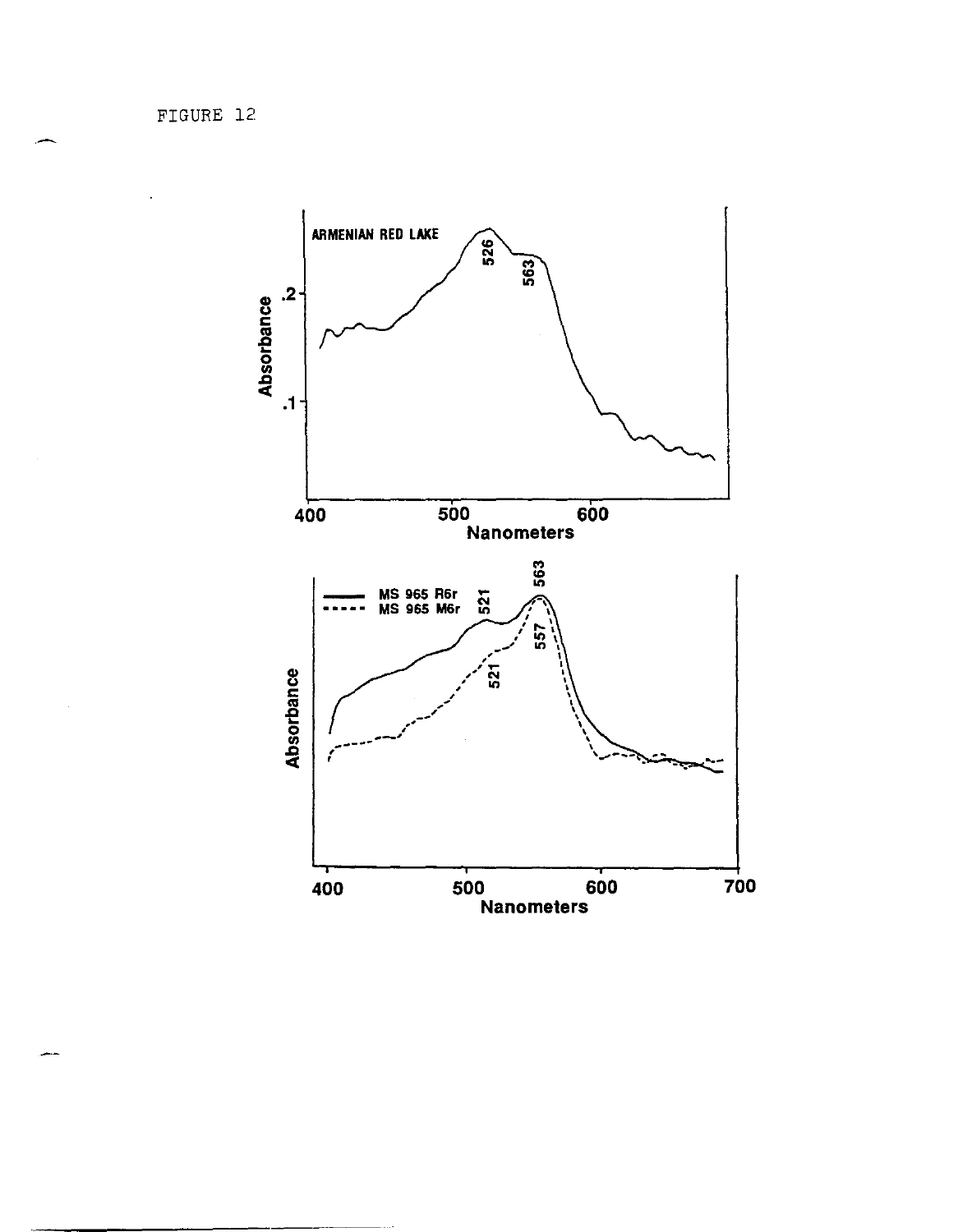FIGURE 12